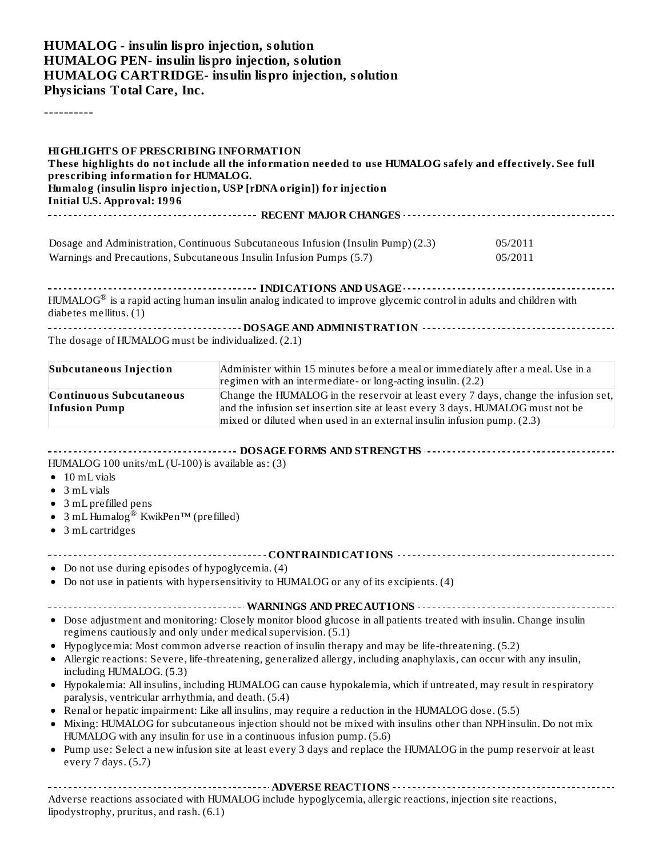#### **HUMALOG - insulin lispro injection, solution HUMALOG PEN- insulin lispro injection, solution HUMALOG CARTRIDGE- insulin lispro injection, solution Physicians Total Care, Inc.**

----------

| <b>HIGHLIGHTS OF PRESCRIBING INFORMATION</b><br>These highlights do not include all the information needed to use HUMALOG safely and effectively. See full<br>prescribing information for HUMALOG.<br>Humalog (insulin lispro injection, USP [rDNA origin]) for injection<br><b>Initial U.S. Approval: 1996</b> |                    |  |
|-----------------------------------------------------------------------------------------------------------------------------------------------------------------------------------------------------------------------------------------------------------------------------------------------------------------|--------------------|--|
|                                                                                                                                                                                                                                                                                                                 |                    |  |
| Dosage and Administration, Continuous Subcutaneous Infusion (Insulin Pump) (2.3)<br>Warnings and Precautions, Subcutaneous Insulin Infusion Pumps (5.7)                                                                                                                                                         | 05/2011<br>05/2011 |  |

**INDICATIONS AND USAGE INDICATIONS AND USAGE** *CONSIDERATIONS* **AND USAGE** *AND* **USAGE** *AND* **USAGE** *AND*  $\rm HUMALOG^{\circledast}$  is a rapid acting human insulin analog indicated to improve glycemic control in adults and children with diabetes mellitus. (1)

| The dosage of HUMALOG must be individualized. (2.1) |
|-----------------------------------------------------|

| <b>Subcutaneous Injection</b> | Administer within 15 minutes before a meal or immediately after a meal. Use in a<br>regimen with an intermediate- or long-acting insulin. (2.2) |
|-------------------------------|-------------------------------------------------------------------------------------------------------------------------------------------------|
| Continuous Subcutaneous       | Change the HUMALOG in the reservoir at least every 7 days, change the infusion set,                                                             |
| <b>Infusion Pump</b>          | and the infusion set insertion site at least every 3 days. HUMALOG must not be                                                                  |
|                               | mixed or diluted when used in an external insulin infusion pump. $(2.3)$                                                                        |

**DOSAGE FORMS AND STRENGTHS**

- HUMALOG 100 units/mL (U-100) is available as: (3)
- $\bullet$  10 mL vials
- 3 mL vials
- 3 mL prefilled pens
- 3 mL Humalog® KwikPen™ (prefilled)
- 3 mL cartridges

**CONTRAINDICATIONS**

- Do not use during episodes of hypoglycemia. (4)
- Do not use in patients with hypersensitivity to HUMALOG or any of its excipients. (4)

#### **WARNINGS AND PRECAUTIONS**

- Dose adjustment and monitoring: Closely monitor blood glucose in all patients treated with insulin. Change insulin regimens cautiously and only under medical supervision. (5.1)
- Hypoglycemia: Most common adverse reaction of insulin therapy and may be life-threatening. (5.2)
- Allergic reactions: Severe, life-threatening, generalized allergy, including anaphylaxis, can occur with any insulin, including HUMALOG. (5.3)
- Hypokalemia: All insulins, including HUMALOG can cause hypokalemia, which if untreated, may result in respiratory paralysis, ventricular arrhythmia, and death. (5.4)
- Renal or hepatic impairment: Like all insulins, may require a reduction in the HUMALOG dose. (5.5)
- Mixing: HUMALOG for subcutaneous injection should not be mixed with insulins other than NPH insulin. Do not mix HUMALOG with any insulin for use in a continuous infusion pump. (5.6)
- Pump use: Select a new infusion site at least every 3 days and replace the HUMALOG in the pump reservoir at least every 7 days. (5.7)

| Adverse reactions associated with HUMALOG include hypoglycemia, allergic reactions, injection site reactions, |
|---------------------------------------------------------------------------------------------------------------|
| lipodystrophy, pruritus, and rash. (6.1)                                                                      |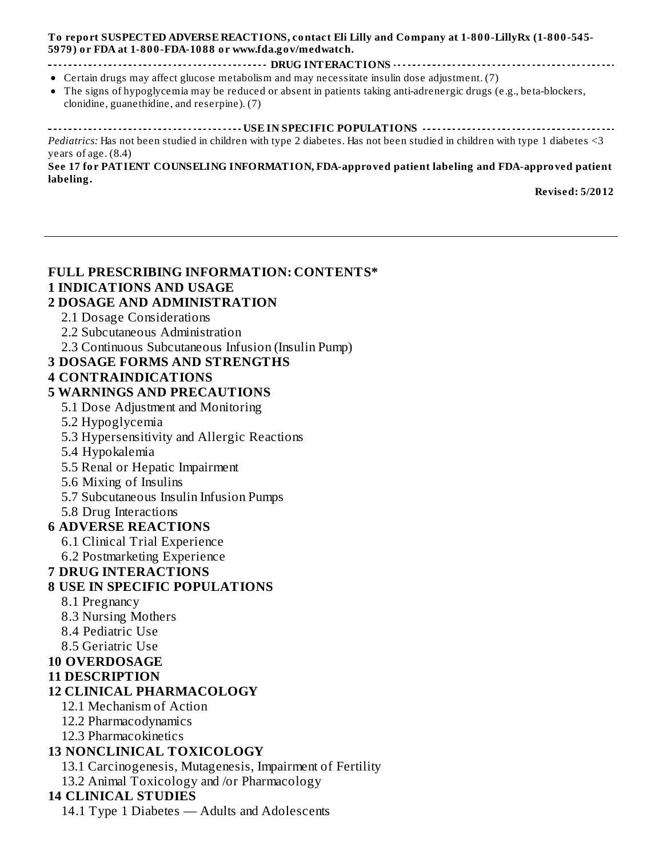#### **To report SUSPECTED ADVERSE REACTIONS, contact Eli Lilly and Company at 1-800-LillyRx (1-800-545- 5979) or FDA at 1-800-FDA-1088 or www.fda.gov/medwatch.**

- **DRUG INTERACTIONS CONSERVATIONS CONSTRUSTIONS CONSTRUSTIONS**
- Certain drugs may affect glucose metabolism and may necessitate insulin dose adjustment. (7)
- The signs of hypoglycemia may be reduced or absent in patients taking anti-adrenergic drugs (e.g., beta-blockers, clonidine, guanethidine, and reserpine). (7)

**USE IN SPECIFIC POPULATIONS** *Pediatrics:* Has not been studied in children with type 2 diabetes. Has not been studied in children with type 1 diabetes <3 years of age. (8.4)

**See 17 for PATIENT COUNSELING INFORMATION, FDA-approved patient labeling and FDA-approved patient labeling.**

**Revised: 5/2012**

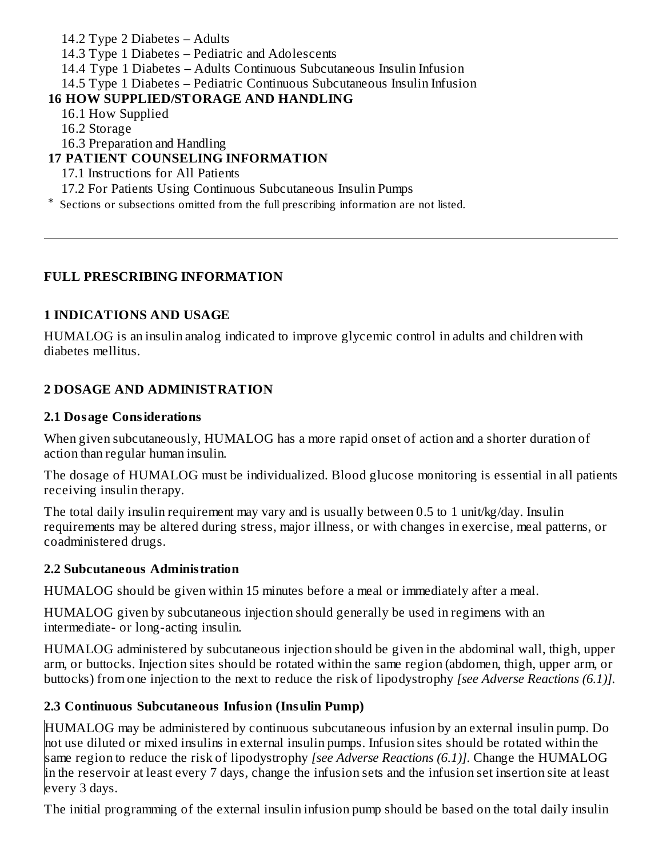14.2 Type 2 Diabetes – Adults

14.3 Type 1 Diabetes – Pediatric and Adolescents

14.4 Type 1 Diabetes – Adults Continuous Subcutaneous Insulin Infusion

14.5 Type 1 Diabetes – Pediatric Continuous Subcutaneous Insulin Infusion

#### **16 HOW SUPPLIED/STORAGE AND HANDLING**

16.1 How Supplied

16.2 Storage

16.3 Preparation and Handling

#### **17 PATIENT COUNSELING INFORMATION**

17.1 Instructions for All Patients

17.2 For Patients Using Continuous Subcutaneous Insulin Pumps

\* Sections or subsections omitted from the full prescribing information are not listed.

#### **FULL PRESCRIBING INFORMATION**

#### **1 INDICATIONS AND USAGE**

HUMALOG is an insulin analog indicated to improve glycemic control in adults and children with diabetes mellitus.

## **2 DOSAGE AND ADMINISTRATION**

#### **2.1 Dosage Considerations**

When given subcutaneously, HUMALOG has a more rapid onset of action and a shorter duration of action than regular human insulin.

The dosage of HUMALOG must be individualized. Blood glucose monitoring is essential in all patients receiving insulin therapy.

The total daily insulin requirement may vary and is usually between 0.5 to 1 unit/kg/day. Insulin requirements may be altered during stress, major illness, or with changes in exercise, meal patterns, or coadministered drugs.

#### **2.2 Subcutaneous Administration**

HUMALOG should be given within 15 minutes before a meal or immediately after a meal.

HUMALOG given by subcutaneous injection should generally be used in regimens with an intermediate- or long-acting insulin.

HUMALOG administered by subcutaneous injection should be given in the abdominal wall, thigh, upper arm, or buttocks. Injection sites should be rotated within the same region (abdomen, thigh, upper arm, or buttocks) from one injection to the next to reduce the risk of lipodystrophy *[see Adverse Reactions (6.1)].*

## **2.3 Continuous Subcutaneous Infusion (Insulin Pump)**

HUMALOG may be administered by continuous subcutaneous infusion by an external insulin pump. Do not use diluted or mixed insulins in external insulin pumps. Infusion sites should be rotated within the same region to reduce the risk of lipodystrophy *[see Adverse Reactions (6.1)]*. Change the HUMALOG in the reservoir at least every 7 days, change the infusion sets and the infusion set insertion site at least every 3 days.

The initial programming of the external insulin infusion pump should be based on the total daily insulin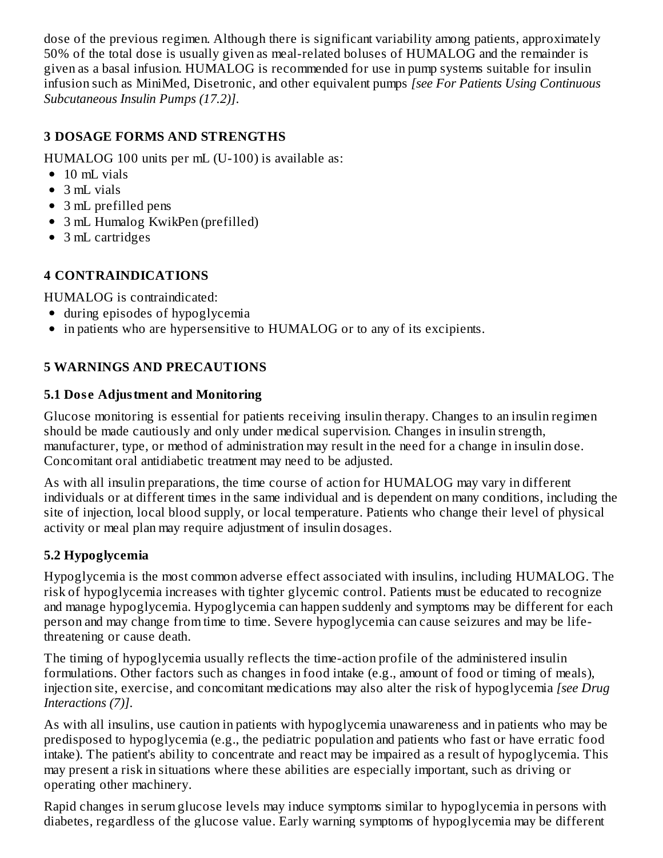dose of the previous regimen. Although there is significant variability among patients, approximately 50% of the total dose is usually given as meal-related boluses of HUMALOG and the remainder is given as a basal infusion. HUMALOG is recommended for use in pump systems suitable for insulin infusion such as MiniMed, Disetronic, and other equivalent pumps *[see For Patients Using Continuous Subcutaneous Insulin Pumps (17.2)]*.

## **3 DOSAGE FORMS AND STRENGTHS**

HUMALOG 100 units per mL (U-100) is available as:

- $\bullet$  10 mL vials
- $\bullet$  3 mL vials
- 3 mL prefilled pens
- 3 mL Humalog KwikPen (prefilled)
- 3 mL cartridges

#### **4 CONTRAINDICATIONS**

HUMALOG is contraindicated:

- during episodes of hypoglycemia
- in patients who are hypersensitive to HUMALOG or to any of its excipients.

## **5 WARNINGS AND PRECAUTIONS**

#### **5.1 Dos e Adjustment and Monitoring**

Glucose monitoring is essential for patients receiving insulin therapy. Changes to an insulin regimen should be made cautiously and only under medical supervision. Changes in insulin strength, manufacturer, type, or method of administration may result in the need for a change in insulin dose. Concomitant oral antidiabetic treatment may need to be adjusted.

As with all insulin preparations, the time course of action for HUMALOG may vary in different individuals or at different times in the same individual and is dependent on many conditions, including the site of injection, local blood supply, or local temperature. Patients who change their level of physical activity or meal plan may require adjustment of insulin dosages.

#### **5.2 Hypoglycemia**

Hypoglycemia is the most common adverse effect associated with insulins, including HUMALOG. The risk of hypoglycemia increases with tighter glycemic control. Patients must be educated to recognize and manage hypoglycemia. Hypoglycemia can happen suddenly and symptoms may be different for each person and may change from time to time. Severe hypoglycemia can cause seizures and may be lifethreatening or cause death.

The timing of hypoglycemia usually reflects the time-action profile of the administered insulin formulations. Other factors such as changes in food intake (e.g., amount of food or timing of meals), injection site, exercise, and concomitant medications may also alter the risk of hypoglycemia *[see Drug Interactions (7)]*.

As with all insulins, use caution in patients with hypoglycemia unawareness and in patients who may be predisposed to hypoglycemia (e.g., the pediatric population and patients who fast or have erratic food intake). The patient's ability to concentrate and react may be impaired as a result of hypoglycemia. This may present a risk in situations where these abilities are especially important, such as driving or operating other machinery.

Rapid changes in serum glucose levels may induce symptoms similar to hypoglycemia in persons with diabetes, regardless of the glucose value. Early warning symptoms of hypoglycemia may be different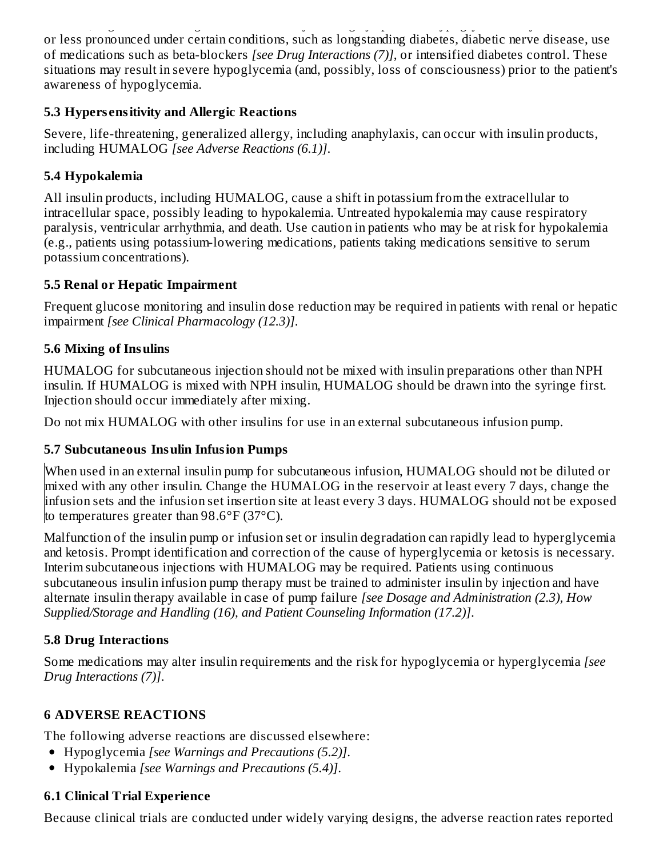diabetes, regardless of the glucose value. Early warning symptoms of hypoglycemia may be different or less pronounced under certain conditions, such as longstanding diabetes, diabetic nerve disease, use of medications such as beta-blockers *[see Drug Interactions (7)]*, or intensified diabetes control. These situations may result in severe hypoglycemia (and, possibly, loss of consciousness) prior to the patient's awareness of hypoglycemia.

## **5.3 Hypers ensitivity and Allergic Reactions**

Severe, life-threatening, generalized allergy, including anaphylaxis, can occur with insulin products, including HUMALOG *[see Adverse Reactions (6.1)]*.

# **5.4 Hypokalemia**

All insulin products, including HUMALOG, cause a shift in potassium from the extracellular to intracellular space, possibly leading to hypokalemia. Untreated hypokalemia may cause respiratory paralysis, ventricular arrhythmia, and death. Use caution in patients who may be at risk for hypokalemia (e.g., patients using potassium-lowering medications, patients taking medications sensitive to serum potassium concentrations).

# **5.5 Renal or Hepatic Impairment**

Frequent glucose monitoring and insulin dose reduction may be required in patients with renal or hepatic impairment *[see Clinical Pharmacology (12.3)]*.

# **5.6 Mixing of Insulins**

HUMALOG for subcutaneous injection should not be mixed with insulin preparations other than NPH insulin. If HUMALOG is mixed with NPH insulin, HUMALOG should be drawn into the syringe first. Injection should occur immediately after mixing.

Do not mix HUMALOG with other insulins for use in an external subcutaneous infusion pump.

# **5.7 Subcutaneous Insulin Infusion Pumps**

When used in an external insulin pump for subcutaneous infusion, HUMALOG should not be diluted or mixed with any other insulin. Change the HUMALOG in the reservoir at least every 7 days, change the infusion sets and the infusion set insertion site at least every 3 days. HUMALOG should not be exposed to temperatures greater than 98.6°F (37°C).

Malfunction of the insulin pump or infusion set or insulin degradation can rapidly lead to hyperglycemia and ketosis. Prompt identification and correction of the cause of hyperglycemia or ketosis is necessary. Interim subcutaneous injections with HUMALOG may be required. Patients using continuous subcutaneous insulin infusion pump therapy must be trained to administer insulin by injection and have alternate insulin therapy available in case of pump failure *[see Dosage and Administration (2.3), How Supplied/Storage and Handling (16), and Patient Counseling Information (17.2)]*.

# **5.8 Drug Interactions**

Some medications may alter insulin requirements and the risk for hypoglycemia or hyperglycemia *[see Drug Interactions (7)]*.

# **6 ADVERSE REACTIONS**

The following adverse reactions are discussed elsewhere:

- Hypoglycemia *[see Warnings and Precautions (5.2)]*.
- Hypokalemia *[see Warnings and Precautions (5.4)]*.

# **6.1 Clinical Trial Experience**

Because clinical trials are conducted under widely varying designs, the adverse reaction rates reported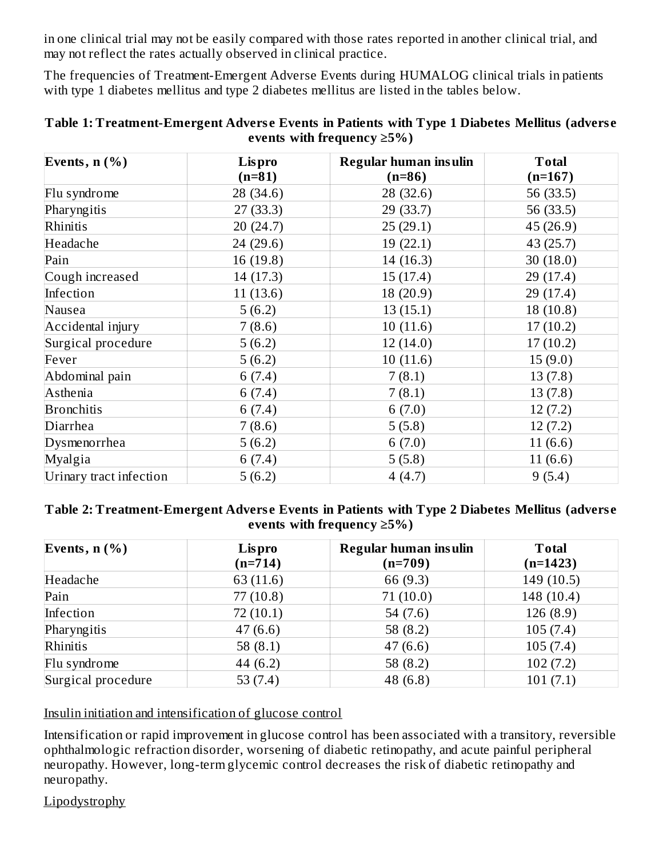in one clinical trial may not be easily compared with those rates reported in another clinical trial, and may not reflect the rates actually observed in clinical practice.

The frequencies of Treatment-Emergent Adverse Events during HUMALOG clinical trials in patients with type 1 diabetes mellitus and type 2 diabetes mellitus are listed in the tables below.

| Events, $n$ (%)         | Lispro    | <b>Regular human insulin</b><br><b>T</b> otal |           |
|-------------------------|-----------|-----------------------------------------------|-----------|
|                         | $(n=81)$  | $(n=86)$                                      | $(n=167)$ |
| Flu syndrome            | 28 (34.6) | 28 (32.6)                                     | 56 (33.5) |
| Pharyngitis             | 27(33.3)  | 29 (33.7)                                     | 56 (33.5) |
| Rhinitis                | 20(24.7)  | 25(29.1)                                      | 45 (26.9) |
| Headache                | 24(29.6)  | 19 (22.1)                                     | 43 (25.7) |
| Pain                    | 16 (19.8) | 14 (16.3)                                     | 30(18.0)  |
| Cough increased         | 14 (17.3) | 15(17.4)                                      | 29 (17.4) |
| Infection               | 11(13.6)  | 18 (20.9)                                     | 29 (17.4) |
| Nausea                  | 5(6.2)    | 13(15.1)                                      | 18(10.8)  |
| Accidental injury       | 7(8.6)    | 10(11.6)                                      | 17(10.2)  |
| Surgical procedure      | 5(6.2)    | 12(14.0)                                      | 17(10.2)  |
| Fever                   | 5(6.2)    | 10(11.6)                                      | 15(9.0)   |
| Abdominal pain          | 6(7.4)    | 7(8.1)                                        | 13(7.8)   |
| Asthenia                | 6(7.4)    | 7(8.1)                                        | 13(7.8)   |
| <b>Bronchitis</b>       | 6(7.4)    | 6(7.0)                                        | 12(7.2)   |
| Diarrhea                | 7(8.6)    | 5(5.8)                                        | 12(7.2)   |
| Dysmenorrhea            | 5(6.2)    | 6(7.0)                                        | 11(6.6)   |
| Myalgia                 | 6(7.4)    | 5(5.8)                                        | 11(6.6)   |
| Urinary tract infection | 5(6.2)    | 4(4.7)                                        | 9(5.4)    |

#### **Table 1: Treatment-Emergent Advers e Events in Patients with Type 1 Diabetes Mellitus (advers e events with frequency ≥5%)**

#### **Table 2: Treatment-Emergent Advers e Events in Patients with Type 2 Diabetes Mellitus (advers e events with frequency ≥5%)**

| Events, $n$ (%)    | Lispro<br>$(n=714)$ | <b>Regular human insulin</b><br>$(n=709)$ | <b>Total</b><br>$(n=1423)$ |
|--------------------|---------------------|-------------------------------------------|----------------------------|
| Headache           | 63 (11.6)           | 66 (9.3)                                  | 149(10.5)                  |
| Pain               | 77(10.8)            | 71(10.0)                                  | 148 (10.4)                 |
| Infection          | 72(10.1)            | 54 $(7.6)$                                | 126(8.9)                   |
| Pharyngitis        | 47(6.6)             | 58 (8.2)                                  | 105(7.4)                   |
| Rhinitis           | 58 $(8.1)$          | 47(6.6)                                   | 105(7.4)                   |
| Flu syndrome       | 44(6.2)             | 58 $(8.2)$                                | 102(7.2)                   |
| Surgical procedure | 53 $(7.4)$          | 48 (6.8)                                  | 101(7.1)                   |

Insulin initiation and intensification of glucose control

Intensification or rapid improvement in glucose control has been associated with a transitory, reversible ophthalmologic refraction disorder, worsening of diabetic retinopathy, and acute painful peripheral neuropathy. However, long-term glycemic control decreases the risk of diabetic retinopathy and neuropathy.

Lipodystrophy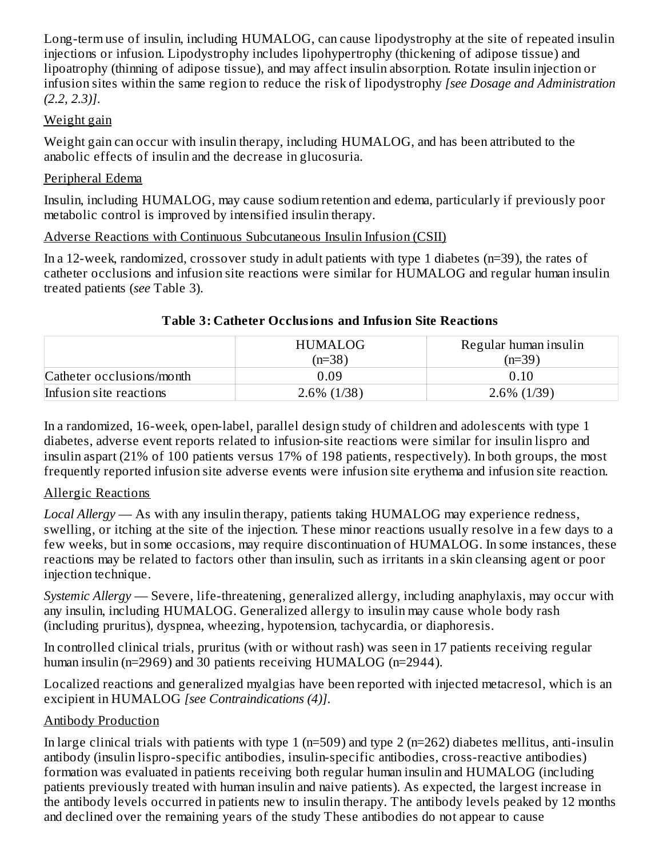Long-term use of insulin, including HUMALOG, can cause lipodystrophy at the site of repeated insulin injections or infusion. Lipodystrophy includes lipohypertrophy (thickening of adipose tissue) and lipoatrophy (thinning of adipose tissue), and may affect insulin absorption. Rotate insulin injection or infusion sites within the same region to reduce the risk of lipodystrophy *[see Dosage and Administration (2.2, 2.3)]*.

#### Weight gain

Weight gain can occur with insulin therapy, including HUMALOG, and has been attributed to the anabolic effects of insulin and the decrease in glucosuria.

#### Peripheral Edema

Insulin, including HUMALOG, may cause sodium retention and edema, particularly if previously poor metabolic control is improved by intensified insulin therapy.

#### Adverse Reactions with Continuous Subcutaneous Insulin Infusion (CSII)

In a 12-week, randomized, crossover study in adult patients with type 1 diabetes (n=39), the rates of catheter occlusions and infusion site reactions were similar for HUMALOG and regular human insulin treated patients (*see* Table 3).

## **Table 3: Catheter Occlusions and Infusion Site Reactions**

|                           | HUMALOG        | Regular human insulin |
|---------------------------|----------------|-----------------------|
|                           | $(n=38)$       | $(n=39)$              |
| Catheter occlusions/month | 0.09           | 0.10                  |
| Infusion site reactions   | $2.6\%$ (1/38) | $2.6\%$ (1/39)        |

In a randomized, 16-week, open-label, parallel design study of children and adolescents with type 1 diabetes, adverse event reports related to infusion-site reactions were similar for insulin lispro and insulin aspart (21% of 100 patients versus 17% of 198 patients, respectively). In both groups, the most frequently reported infusion site adverse events were infusion site erythema and infusion site reaction.

## Allergic Reactions

*Local Allergy* — As with any insulin therapy, patients taking HUMALOG may experience redness, swelling, or itching at the site of the injection. These minor reactions usually resolve in a few days to a few weeks, but in some occasions, may require discontinuation of HUMALOG. In some instances, these reactions may be related to factors other than insulin, such as irritants in a skin cleansing agent or poor injection technique.

*Systemic Allergy* — Severe, life-threatening, generalized allergy, including anaphylaxis, may occur with any insulin, including HUMALOG. Generalized allergy to insulin may cause whole body rash (including pruritus), dyspnea, wheezing, hypotension, tachycardia, or diaphoresis.

In controlled clinical trials, pruritus (with or without rash) was seen in 17 patients receiving regular human insulin (n=2969) and 30 patients receiving HUMALOG (n=2944).

Localized reactions and generalized myalgias have been reported with injected metacresol, which is an excipient in HUMALOG *[see Contraindications (4)]*.

# Antibody Production

In large clinical trials with patients with type  $1$  (n=509) and type  $2$  (n=262) diabetes mellitus, anti-insulin antibody (insulin lispro-specific antibodies, insulin-specific antibodies, cross-reactive antibodies) formation was evaluated in patients receiving both regular human insulin and HUMALOG (including patients previously treated with human insulin and naive patients). As expected, the largest increase in the antibody levels occurred in patients new to insulin therapy. The antibody levels peaked by 12 months and declined over the remaining years of the study These antibodies do not appear to cause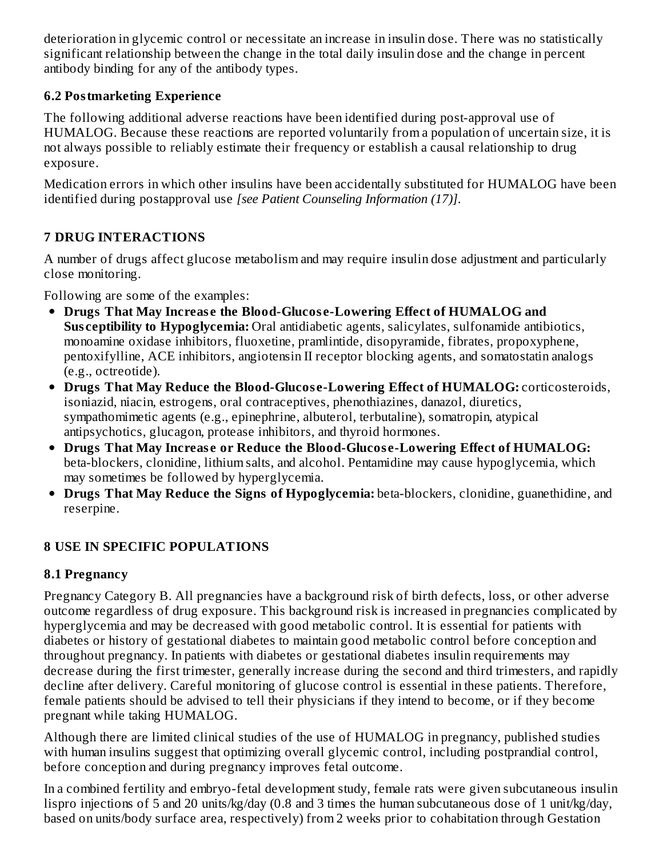deterioration in glycemic control or necessitate an increase in insulin dose. There was no statistically significant relationship between the change in the total daily insulin dose and the change in percent antibody binding for any of the antibody types.

## **6.2 Postmarketing Experience**

The following additional adverse reactions have been identified during post-approval use of HUMALOG. Because these reactions are reported voluntarily from a population of uncertain size, it is not always possible to reliably estimate their frequency or establish a causal relationship to drug exposure.

Medication errors in which other insulins have been accidentally substituted for HUMALOG have been identified during postapproval use *[see Patient Counseling Information (17)]*.

# **7 DRUG INTERACTIONS**

A number of drugs affect glucose metabolism and may require insulin dose adjustment and particularly close monitoring.

Following are some of the examples:

- **Drugs That May Increas e the Blood-Glucos e-Lowering Effect of HUMALOG and Sus ceptibility to Hypoglycemia:** Oral antidiabetic agents, salicylates, sulfonamide antibiotics, monoamine oxidase inhibitors, fluoxetine, pramlintide, disopyramide, fibrates, propoxyphene, pentoxifylline, ACE inhibitors, angiotensin II receptor blocking agents, and somatostatin analogs (e.g., octreotide).
- **Drugs That May Reduce the Blood-Glucos e-Lowering Effect of HUMALOG:** corticosteroids, isoniazid, niacin, estrogens, oral contraceptives, phenothiazines, danazol, diuretics, sympathomimetic agents (e.g., epinephrine, albuterol, terbutaline), somatropin, atypical antipsychotics, glucagon, protease inhibitors, and thyroid hormones.
- **Drugs That May Increas e or Reduce the Blood-Glucos e-Lowering Effect of HUMALOG:** beta-blockers, clonidine, lithium salts, and alcohol. Pentamidine may cause hypoglycemia, which may sometimes be followed by hyperglycemia.
- **Drugs That May Reduce the Signs of Hypoglycemia:** beta-blockers, clonidine, guanethidine, and reserpine.

# **8 USE IN SPECIFIC POPULATIONS**

## **8.1 Pregnancy**

Pregnancy Category B. All pregnancies have a background risk of birth defects, loss, or other adverse outcome regardless of drug exposure. This background risk is increased in pregnancies complicated by hyperglycemia and may be decreased with good metabolic control. It is essential for patients with diabetes or history of gestational diabetes to maintain good metabolic control before conception and throughout pregnancy. In patients with diabetes or gestational diabetes insulin requirements may decrease during the first trimester, generally increase during the second and third trimesters, and rapidly decline after delivery. Careful monitoring of glucose control is essential in these patients. Therefore, female patients should be advised to tell their physicians if they intend to become, or if they become pregnant while taking HUMALOG.

Although there are limited clinical studies of the use of HUMALOG in pregnancy, published studies with human insulins suggest that optimizing overall glycemic control, including postprandial control, before conception and during pregnancy improves fetal outcome.

In a combined fertility and embryo-fetal development study, female rats were given subcutaneous insulin lispro injections of 5 and 20 units/kg/day (0.8 and 3 times the human subcutaneous dose of 1 unit/kg/day, based on units/body surface area, respectively) from 2 weeks prior to cohabitation through Gestation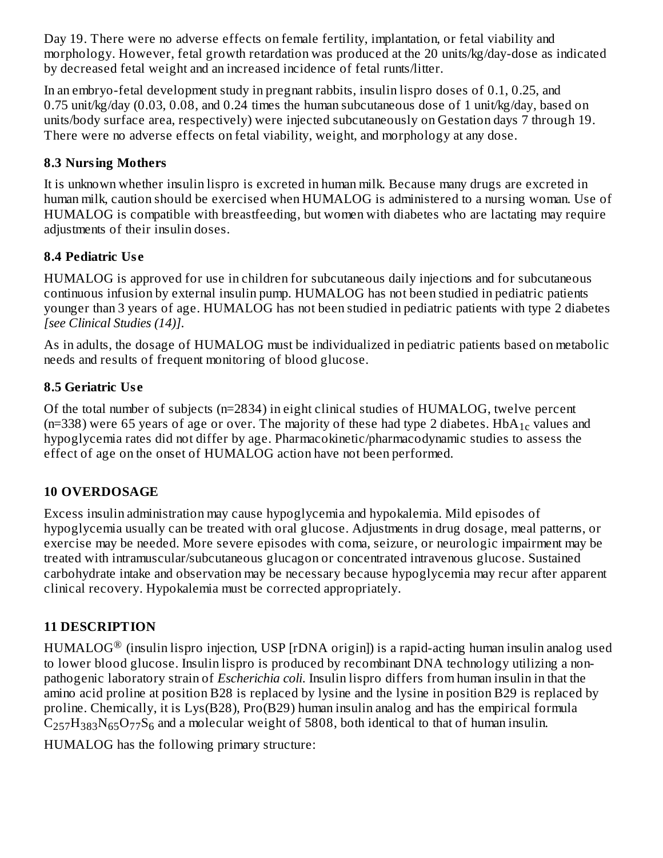Day 19. There were no adverse effects on female fertility, implantation, or fetal viability and morphology. However, fetal growth retardation was produced at the 20 units/kg/day-dose as indicated by decreased fetal weight and an increased incidence of fetal runts/litter.

In an embryo-fetal development study in pregnant rabbits, insulin lispro doses of 0.1, 0.25, and 0.75 unit/kg/day (0.03, 0.08, and 0.24 times the human subcutaneous dose of 1 unit/kg/day, based on units/body surface area, respectively) were injected subcutaneously on Gestation days 7 through 19. There were no adverse effects on fetal viability, weight, and morphology at any dose.

## **8.3 Nursing Mothers**

It is unknown whether insulin lispro is excreted in human milk. Because many drugs are excreted in human milk, caution should be exercised when HUMALOG is administered to a nursing woman. Use of HUMALOG is compatible with breastfeeding, but women with diabetes who are lactating may require adjustments of their insulin doses.

## **8.4 Pediatric Us e**

HUMALOG is approved for use in children for subcutaneous daily injections and for subcutaneous continuous infusion by external insulin pump. HUMALOG has not been studied in pediatric patients younger than 3 years of age. HUMALOG has not been studied in pediatric patients with type 2 diabetes *[see Clinical Studies (14)]*.

As in adults, the dosage of HUMALOG must be individualized in pediatric patients based on metabolic needs and results of frequent monitoring of blood glucose.

## **8.5 Geriatric Us e**

Of the total number of subjects (n=2834) in eight clinical studies of HUMALOG, twelve percent (n=338) were 65 years of age or over. The majority of these had type 2 diabetes.  $\text{HbA}_{1 \text{c}}$  values and hypoglycemia rates did not differ by age. Pharmacokinetic/pharmacodynamic studies to assess the effect of age on the onset of HUMALOG action have not been performed.

## **10 OVERDOSAGE**

Excess insulin administration may cause hypoglycemia and hypokalemia. Mild episodes of hypoglycemia usually can be treated with oral glucose. Adjustments in drug dosage, meal patterns, or exercise may be needed. More severe episodes with coma, seizure, or neurologic impairment may be treated with intramuscular/subcutaneous glucagon or concentrated intravenous glucose. Sustained carbohydrate intake and observation may be necessary because hypoglycemia may recur after apparent clinical recovery. Hypokalemia must be corrected appropriately.

# **11 DESCRIPTION**

<code>HUMALOG®</code> (insulin lispro injection, USP [rDNA origin]) is a rapid-acting human insulin analog used to lower blood glucose. Insulin lispro is produced by recombinant DNA technology utilizing a nonpathogenic laboratory strain of *Escherichia coli*. Insulin lispro differs from human insulin in that the amino acid proline at position B28 is replaced by lysine and the lysine in position B29 is replaced by proline. Chemically, it is Lys(B28), Pro(B29) human insulin analog and has the empirical formula  $C_{257}H_{383}N_{65}O_{77}S_6$  and a molecular weight of 5808, both identical to that of human insulin.

HUMALOG has the following primary structure: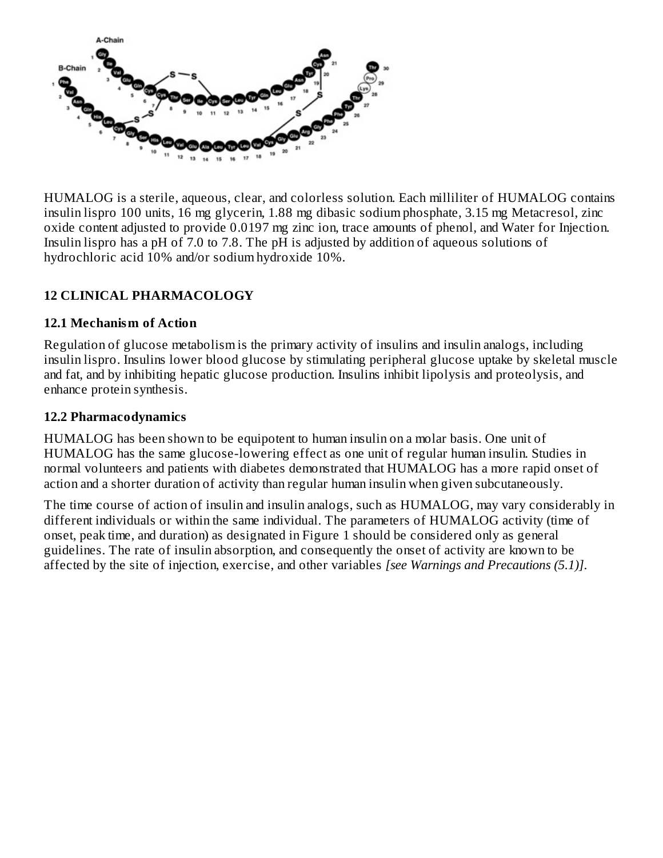

HUMALOG is a sterile, aqueous, clear, and colorless solution. Each milliliter of HUMALOG contains insulin lispro 100 units, 16 mg glycerin, 1.88 mg dibasic sodium phosphate, 3.15 mg Metacresol, zinc oxide content adjusted to provide 0.0197 mg zinc ion, trace amounts of phenol, and Water for Injection. Insulin lispro has a pH of 7.0 to 7.8. The pH is adjusted by addition of aqueous solutions of hydrochloric acid 10% and/or sodium hydroxide 10%.

#### **12 CLINICAL PHARMACOLOGY**

#### **12.1 Mechanism of Action**

Regulation of glucose metabolism is the primary activity of insulins and insulin analogs, including insulin lispro. Insulins lower blood glucose by stimulating peripheral glucose uptake by skeletal muscle and fat, and by inhibiting hepatic glucose production. Insulins inhibit lipolysis and proteolysis, and enhance protein synthesis.

#### **12.2 Pharmacodynamics**

HUMALOG has been shown to be equipotent to human insulin on a molar basis. One unit of HUMALOG has the same glucose-lowering effect as one unit of regular human insulin. Studies in normal volunteers and patients with diabetes demonstrated that HUMALOG has a more rapid onset of action and a shorter duration of activity than regular human insulin when given subcutaneously.

The time course of action of insulin and insulin analogs, such as HUMALOG, may vary considerably in different individuals or within the same individual. The parameters of HUMALOG activity (time of onset, peak time, and duration) as designated in Figure 1 should be considered only as general guidelines. The rate of insulin absorption, and consequently the onset of activity are known to be affected by the site of injection, exercise, and other variables *[see Warnings and Precautions (5.1)]*.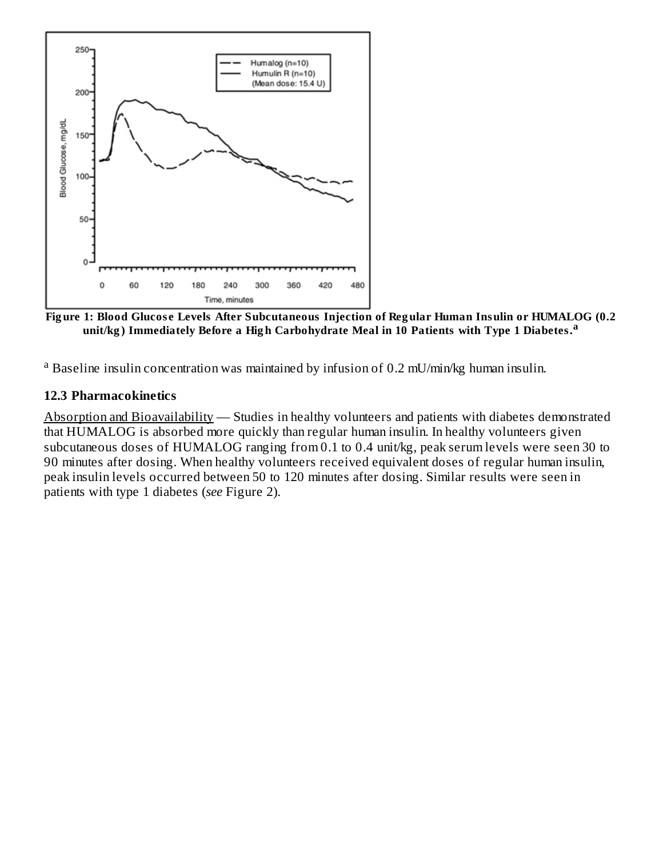

Figure 1: Blood Glucose Levels After Subcutaneous Injection of Regular Human Insulin or HUMALOG (0.2 **unit/kg ) Immediately Before a Hig h Carbohydrate Meal in 10 Patients with Type 1 Diabetes. a**

<sup>a</sup> Baseline insulin concentration was maintained by infusion of 0.2 mU/min/kg human insulin.

#### **12.3 Pharmacokinetics**

Absorption and Bioavailability — Studies in healthy volunteers and patients with diabetes demonstrated that HUMALOG is absorbed more quickly than regular human insulin. In healthy volunteers given subcutaneous doses of HUMALOG ranging from 0.1 to 0.4 unit/kg, peak serum levels were seen 30 to 90 minutes after dosing. When healthy volunteers received equivalent doses of regular human insulin, peak insulin levels occurred between 50 to 120 minutes after dosing. Similar results were seen in patients with type 1 diabetes (*see* Figure 2).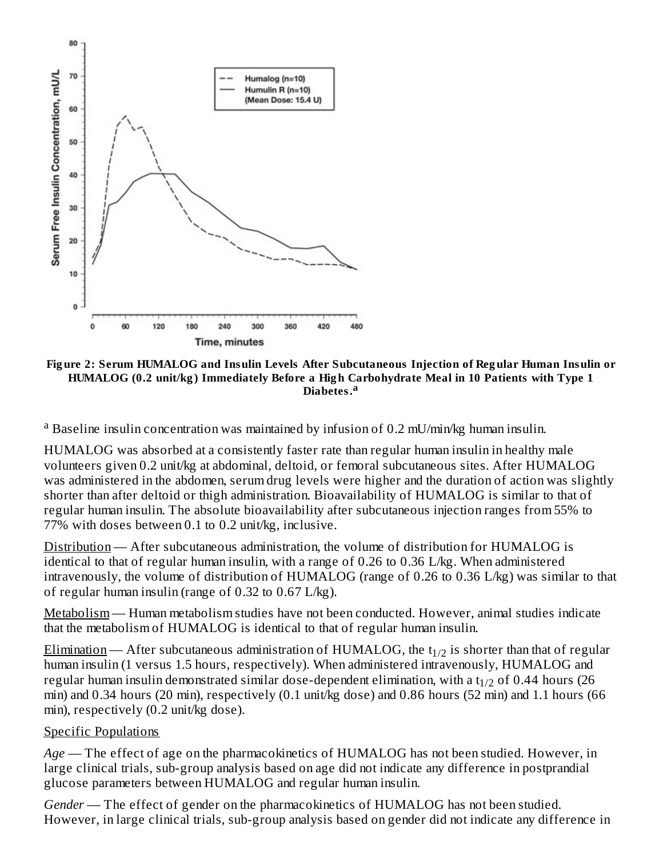

**Fig ure 2: Serum HUMALOG and Insulin Levels After Subcutaneous Injection of Reg ular Human Insulin or HUMALOG (0.2 unit/kg ) Immediately Before a Hig h Carbohydrate Meal in 10 Patients with Type 1 Diabetes. a**

<sup>a</sup> Baseline insulin concentration was maintained by infusion of 0.2 mU/min/kg human insulin.

HUMALOG was absorbed at a consistently faster rate than regular human insulin in healthy male volunteers given 0.2 unit/kg at abdominal, deltoid, or femoral subcutaneous sites. After HUMALOG was administered in the abdomen, serum drug levels were higher and the duration of action was slightly shorter than after deltoid or thigh administration. Bioavailability of HUMALOG is similar to that of regular human insulin. The absolute bioavailability after subcutaneous injection ranges from 55% to 77% with doses between 0.1 to 0.2 unit/kg, inclusive.

Distribution — After subcutaneous administration, the volume of distribution for HUMALOG is identical to that of regular human insulin, with a range of 0.26 to 0.36 L/kg. When administered intravenously, the volume of distribution of HUMALOG (range of 0.26 to 0.36 L/kg) was similar to that of regular human insulin (range of 0.32 to 0.67 L/kg).

Metabolism — Human metabolism studies have not been conducted. However, animal studies indicate that the metabolism of HUMALOG is identical to that of regular human insulin.

<u>Elimination</u> — After subcutaneous administration of HUMALOG, the t $_{1/2}$  is shorter than that of regular human insulin (1 versus 1.5 hours, respectively). When administered intravenously, HUMALOG and regular human insulin demonstrated similar dose-dependent elimination, with a t $_{1/2}$  of 0.44 hours (26  $\,$ min) and 0.34 hours (20 min), respectively (0.1 unit/kg dose) and 0.86 hours (52 min) and 1.1 hours (66 min), respectively (0.2 unit/kg dose).

#### Specific Populations

*Age* — The effect of age on the pharmacokinetics of HUMALOG has not been studied. However, in large clinical trials, sub-group analysis based on age did not indicate any difference in postprandial glucose parameters between HUMALOG and regular human insulin.

*Gender* — The effect of gender on the pharmacokinetics of HUMALOG has not been studied. However, in large clinical trials, sub-group analysis based on gender did not indicate any difference in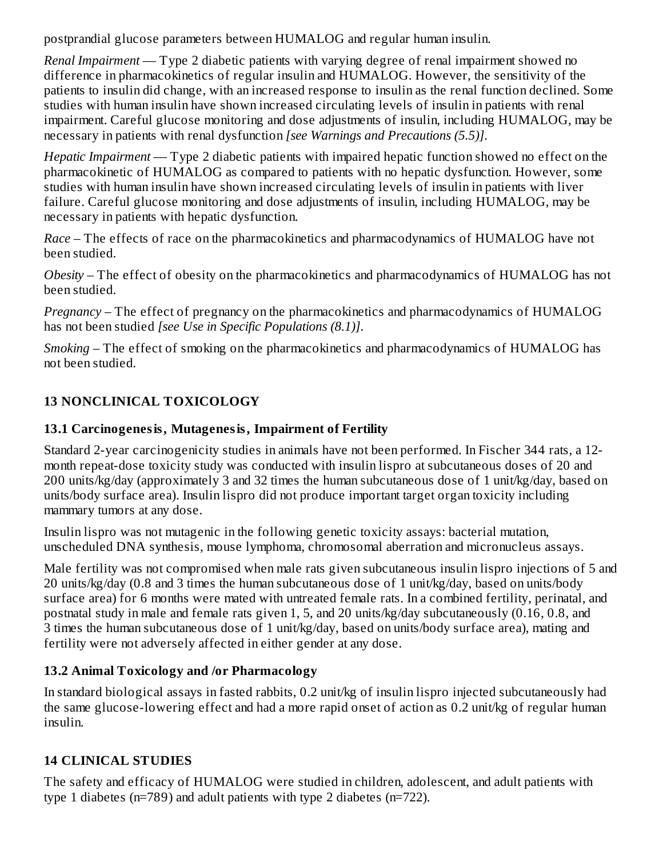postprandial glucose parameters between HUMALOG and regular human insulin.

*Renal Impairment* — Type 2 diabetic patients with varying degree of renal impairment showed no difference in pharmacokinetics of regular insulin and HUMALOG. However, the sensitivity of the patients to insulin did change, with an increased response to insulin as the renal function declined. Some studies with human insulin have shown increased circulating levels of insulin in patients with renal impairment. Careful glucose monitoring and dose adjustments of insulin, including HUMALOG, may be necessary in patients with renal dysfunction *[see Warnings and Precautions (5.5)]*.

*Hepatic Impairment* — Type 2 diabetic patients with impaired hepatic function showed no effect on the pharmacokinetic of HUMALOG as compared to patients with no hepatic dysfunction. However, some studies with human insulin have shown increased circulating levels of insulin in patients with liver failure. Careful glucose monitoring and dose adjustments of insulin, including HUMALOG, may be necessary in patients with hepatic dysfunction.

*Race* – The effects of race on the pharmacokinetics and pharmacodynamics of HUMALOG have not been studied.

*Obesity* – The effect of obesity on the pharmacokinetics and pharmacodynamics of HUMALOG has not been studied.

*Pregnancy* – The effect of pregnancy on the pharmacokinetics and pharmacodynamics of HUMALOG has not been studied *[see Use in Specific Populations (8.1)]*.

*Smoking* – The effect of smoking on the pharmacokinetics and pharmacodynamics of HUMALOG has not been studied.

# **13 NONCLINICAL TOXICOLOGY**

## **13.1 Carcinogenesis, Mutagenesis, Impairment of Fertility**

Standard 2-year carcinogenicity studies in animals have not been performed. In Fischer 344 rats, a 12 month repeat-dose toxicity study was conducted with insulin lispro at subcutaneous doses of 20 and 200 units/kg/day (approximately 3 and 32 times the human subcutaneous dose of 1 unit/kg/day, based on units/body surface area). Insulin lispro did not produce important target organ toxicity including mammary tumors at any dose.

Insulin lispro was not mutagenic in the following genetic toxicity assays: bacterial mutation, unscheduled DNA synthesis, mouse lymphoma, chromosomal aberration and micronucleus assays.

Male fertility was not compromised when male rats given subcutaneous insulin lispro injections of 5 and 20 units/kg/day (0.8 and 3 times the human subcutaneous dose of 1 unit/kg/day, based on units/body surface area) for 6 months were mated with untreated female rats. In a combined fertility, perinatal, and postnatal study in male and female rats given 1, 5, and 20 units/kg/day subcutaneously (0.16, 0.8, and 3 times the human subcutaneous dose of 1 unit/kg/day, based on units/body surface area), mating and fertility were not adversely affected in either gender at any dose.

## **13.2 Animal Toxicology and /or Pharmacology**

In standard biological assays in fasted rabbits, 0.2 unit/kg of insulin lispro injected subcutaneously had the same glucose-lowering effect and had a more rapid onset of action as 0.2 unit/kg of regular human insulin.

# **14 CLINICAL STUDIES**

The safety and efficacy of HUMALOG were studied in children, adolescent, and adult patients with type 1 diabetes (n=789) and adult patients with type 2 diabetes (n=722).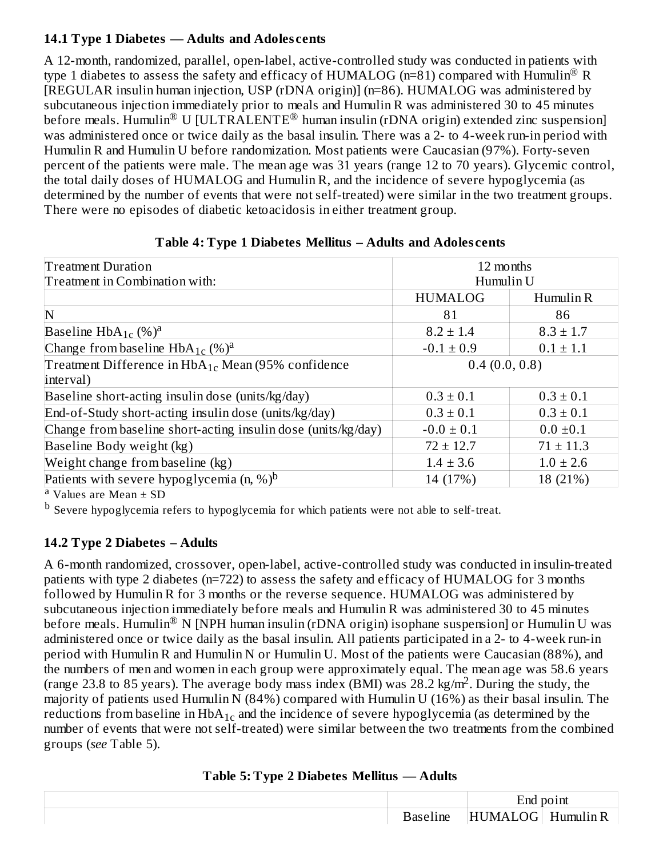# **14.1 Type 1 Diabetes — Adults and Adoles cents**

A 12-month, randomized, parallel, open-label, active-controlled study was conducted in patients with type 1 diabetes to assess the safety and efficacy of HUMALOG (n=81) compared with Humulin® R [REGULAR insulin human injection, USP (rDNA origin)] (n=86). HUMALOG was administered by subcutaneous injection immediately prior to meals and Humulin R was administered 30 to 45 minutes before meals. Humulin $^{\circledR}$  U [ULTRALENTE $^{\circledR}$  human insulin (rDNA origin) extended zinc suspension] was administered once or twice daily as the basal insulin. There was a 2- to 4-week run-in period with Humulin R and Humulin U before randomization. Most patients were Caucasian (97%). Forty-seven percent of the patients were male. The mean age was 31 years (range 12 to 70 years). Glycemic control, the total daily doses of HUMALOG and Humulin R, and the incidence of severe hypoglycemia (as determined by the number of events that were not self-treated) were similar in the two treatment groups. There were no episodes of diabetic ketoacidosis in either treatment group.

| <b>Treatment Duration</b>                                     | 12 months      |               |
|---------------------------------------------------------------|----------------|---------------|
| Treatment in Combination with:                                | Humulin U      |               |
|                                                               | <b>HUMALOG</b> | Humulin R     |
| N                                                             | 81             | 86            |
| Baseline $HbA_{1c}$ (%) <sup>a</sup>                          | $8.2 \pm 1.4$  | $8.3 \pm 1.7$ |
| Change from baseline $HbA_{1c}$ (%) <sup>a</sup>              | $-0.1 \pm 0.9$ | $0.1 \pm 1.1$ |
| Treatment Difference in $HbA_{1c}$ Mean (95% confidence       | 0.4(0.0, 0.8)  |               |
| interval)                                                     |                |               |
| Baseline short-acting insulin dose (units/kg/day)             | $0.3 \pm 0.1$  | $0.3 \pm 0.1$ |
| End-of-Study short-acting insulin dose (units/kg/day)         | $0.3 \pm 0.1$  | $0.3 \pm 0.1$ |
| Change from baseline short-acting insulin dose (units/kg/day) | $-0.0 \pm 0.1$ | $0.0 \pm 0.1$ |
| Baseline Body weight (kg)                                     | $72 \pm 12.7$  | $71 \pm 11.3$ |
| Weight change from baseline (kg)                              | $1.4 \pm 3.6$  | $1.0 \pm 2.6$ |
| Patients with severe hypoglycemia $(n, %)^b$                  | 14 (17%)       | 18 (21%)      |

#### **Table 4: Type 1 Diabetes Mellitus – Adults and Adoles cents**

<sup>a</sup> Values are Mean ± SD

 $^{\rm b}$  Severe hypoglycemia refers to hypoglycemia for which patients were not able to self-treat.

## **14.2 Type 2 Diabetes – Adults**

A 6-month randomized, crossover, open-label, active-controlled study was conducted in insulin-treated patients with type 2 diabetes (n=722) to assess the safety and efficacy of HUMALOG for 3 months followed by Humulin R for 3 months or the reverse sequence. HUMALOG was administered by subcutaneous injection immediately before meals and Humulin R was administered 30 to 45 minutes before meals. Humulin $^{\circledR}$  N [NPH human insulin (rDNA origin) isophane suspension] or Humulin U was administered once or twice daily as the basal insulin. All patients participated in a 2- to 4-week run-in period with Humulin R and Humulin N or Humulin U. Most of the patients were Caucasian (88%), and the numbers of men and women in each group were approximately equal. The mean age was 58.6 years (range 23.8 to 85 years). The average body mass index (BMI) was  $28.2$  kg/m<sup>2</sup>. During the study, the majority of patients used Humulin N (84%) compared with Humulin U (16%) as their basal insulin. The reductions from baseline in  $HbA_{1c}$  and the incidence of severe hypoglycemia (as determined by the number of events that were not self-treated) were similar between the two treatments from the combined groups (*see* Table 5).

| Table 5: Type 2 Diabetes Mellitus $-$ Adults |  |  |  |
|----------------------------------------------|--|--|--|
|----------------------------------------------|--|--|--|

|                 | -<br>∴nd                         | point                 |
|-----------------|----------------------------------|-----------------------|
| ה הרי<br>seline | JMALOG<br>. H L '<br>י ש⊔רי<br>∼ | --<br>tumulin.<br>. . |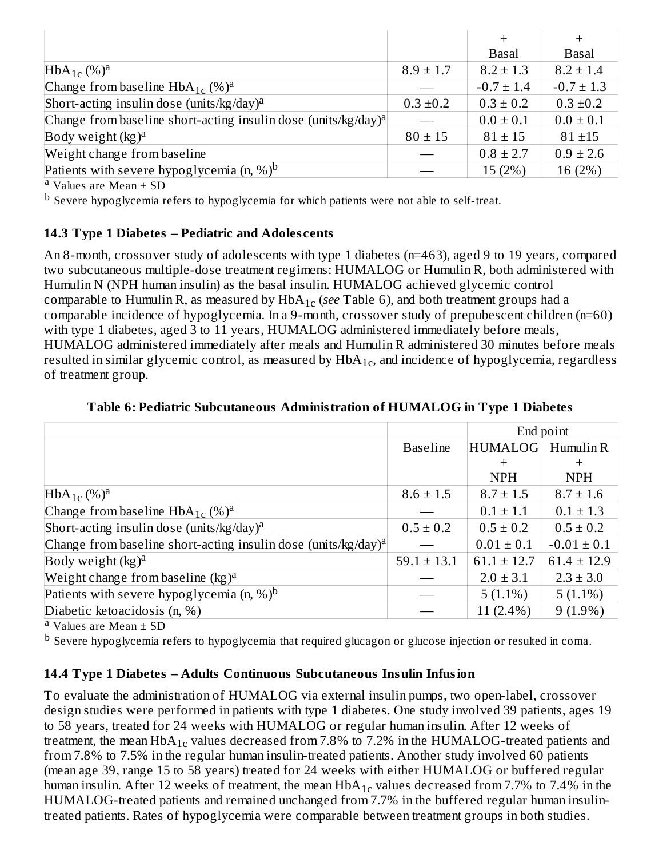|                                                                            |               | $^{+}$         |                |
|----------------------------------------------------------------------------|---------------|----------------|----------------|
|                                                                            |               | <b>Basal</b>   | <b>Basal</b>   |
| $HbA_{1c}$ (%) <sup>a</sup>                                                | $8.9 \pm 1.7$ | $8.2 \pm 1.3$  | $8.2 \pm 1.4$  |
| Change from baseline $HbA_{1c}$ (%) <sup>a</sup>                           |               | $-0.7 \pm 1.4$ | $-0.7 \pm 1.3$ |
| Short-acting insulin dose (units/kg/day) <sup>a</sup>                      | $0.3 \pm 0.2$ | $0.3 \pm 0.2$  | $0.3 \pm 0.2$  |
| Change from baseline short-acting insulin dose (units/kg/day) <sup>a</sup> |               | $0.0 \pm 0.1$  | $0.0 \pm 0.1$  |
| Body weight $(kg)^a$                                                       | $80 \pm 15$   | $81 \pm 15$    | $81 \pm 15$    |
| Weight change from baseline                                                |               | $0.8 \pm 2.7$  | $0.9 \pm 2.6$  |
| Patients with severe hypoglycemia $(n, %)^b$                               |               | 15 (2%)        | 16 (2%)        |

<sup>a</sup> Values are Mean ± SD

 $^{\rm b}$  Severe hypoglycemia refers to hypoglycemia for which patients were not able to self-treat.

#### **14.3 Type 1 Diabetes – Pediatric and Adoles cents**

An 8-month, crossover study of adolescents with type 1 diabetes (n=463), aged 9 to 19 years, compared two subcutaneous multiple-dose treatment regimens: HUMALOG or Humulin R, both administered with Humulin N (NPH human insulin) as the basal insulin. HUMALOG achieved glycemic control comparable to Humulin R, as measured by  $HbA_{1c}$  (*see* Table 6), and both treatment groups had a comparable incidence of hypoglycemia. In a 9-month, crossover study of prepubescent children (n=60) with type 1 diabetes, aged 3 to 11 years, HUMALOG administered immediately before meals, HUMALOG administered immediately after meals and Humulin R administered 30 minutes before meals resulted in similar glycemic control, as measured by  $\text{HbA}_\text{1c}$ , and incidence of hypoglycemia, regardless of treatment group.

|                                                                            |                 | End point       |                 |  |
|----------------------------------------------------------------------------|-----------------|-----------------|-----------------|--|
|                                                                            | <b>Baseline</b> | <b>HUMALOG</b>  | Humulin R       |  |
|                                                                            |                 | $^{+}$          | $^{+}$          |  |
|                                                                            |                 | <b>NPH</b>      | <b>NPH</b>      |  |
| $HbA_{1c}$ (%) <sup>a</sup>                                                | $8.6 \pm 1.5$   | $8.7 \pm 1.5$   | $8.7 \pm 1.6$   |  |
| Change from baseline $HbA_{1c}$ (%) <sup>a</sup>                           |                 | $0.1 \pm 1.1$   | $0.1 \pm 1.3$   |  |
| Short-acting insulin dose (units/kg/day) <sup>a</sup>                      | $0.5 \pm 0.2$   | $0.5 \pm 0.2$   | $0.5 \pm 0.2$   |  |
| Change from baseline short-acting insulin dose (units/kg/day) <sup>a</sup> |                 | $0.01 \pm 0.1$  | $-0.01 \pm 0.1$ |  |
| Body weight (kg) <sup>a</sup>                                              | $59.1 \pm 13.1$ | $61.1 \pm 12.7$ | $61.4 \pm 12.9$ |  |
| Weight change from baseline (kg) <sup>a</sup>                              |                 | $2.0 \pm 3.1$   | $2.3 \pm 3.0$   |  |
| Patients with severe hypoglycemia $(n, %)^b$                               |                 | $5(1.1\%)$      | $5(1.1\%)$      |  |
| Diabetic ketoacidosis (n, %)                                               |                 | $11(2.4\%)$     | $9(1.9\%)$      |  |

#### **Table 6: Pediatric Subcutaneous Administration of HUMALOG in Type 1 Diabetes**

<sup>a</sup> Values are Mean ± SD

 $^{\rm b}$  Severe hypoglycemia refers to hypoglycemia that required glucagon or glucose injection or resulted in coma.

#### **14.4 Type 1 Diabetes – Adults Continuous Subcutaneous Insulin Infusion**

To evaluate the administration of HUMALOG via external insulin pumps, two open-label, crossover design studies were performed in patients with type 1 diabetes. One study involved 39 patients, ages 19 to 58 years, treated for 24 weeks with HUMALOG or regular human insulin. After 12 weeks of treatment, the mean  $\rm HbA_{1c}$  values decreased from 7.8% to 7.2% in the  $\rm HUMALOG$ -treated patients and from 7.8% to 7.5% in the regular human insulin-treated patients. Another study involved 60 patients (mean age 39, range 15 to 58 years) treated for 24 weeks with either HUMALOG or buffered regular human insulin. After 12 weeks of treatment, the mean  $HbA_{1c}$  values decreased from 7.7% to 7.4% in the HUMALOG-treated patients and remained unchanged from 7.7% in the buffered regular human insulintreated patients. Rates of hypoglycemia were comparable between treatment groups in both studies.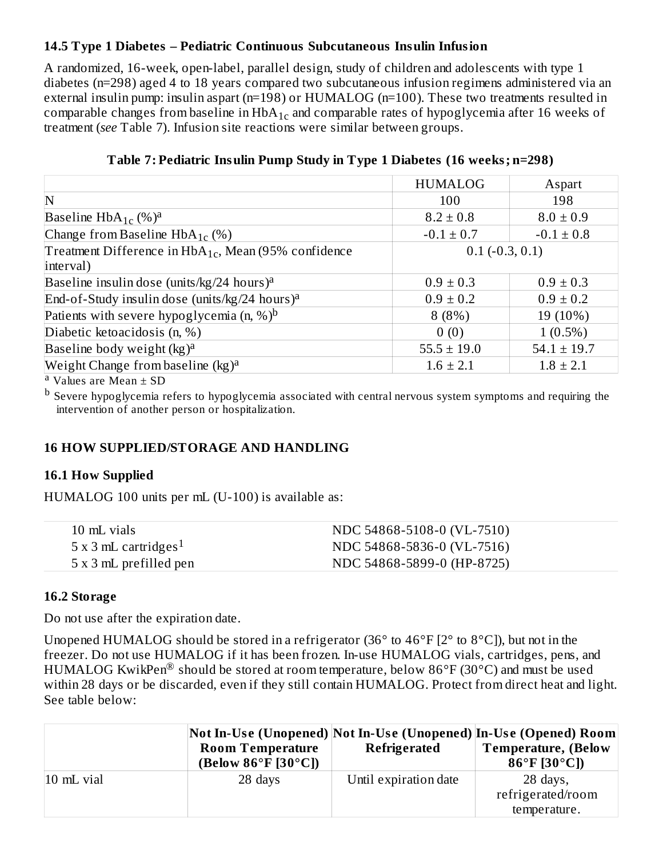#### **14.5 Type 1 Diabetes – Pediatric Continuous Subcutaneous Insulin Infusion**

A randomized, 16-week, open-label, parallel design, study of children and adolescents with type 1 diabetes (n=298) aged 4 to 18 years compared two subcutaneous infusion regimens administered via an external insulin pump: insulin aspart (n=198) or HUMALOG (n=100). These two treatments resulted in comparable changes from baseline in  $\text{HbA}_{1 \text{c}}$  and comparable rates of hypoglycemia after 16 weeks of treatment (*see* Table 7). Infusion site reactions were similar between groups.

| <b>HUMALOG</b>    | Aspart          |
|-------------------|-----------------|
| 100               | 198             |
| $8.2 \pm 0.8$     | $8.0 \pm 0.9$   |
| $-0.1 \pm 0.7$    | $-0.1 \pm 0.8$  |
| $0.1 (-0.3, 0.1)$ |                 |
| $0.9 \pm 0.3$     | $0.9 \pm 0.3$   |
| $0.9 \pm 0.2$     | $0.9 \pm 0.2$   |
| 8(8%)             | 19 (10%)        |
| 0(0)              | $1(0.5\%)$      |
| $55.5 \pm 19.0$   | $54.1 \pm 19.7$ |
| $1.6 \pm 2.1$     | $1.8 \pm 2.1$   |
|                   |                 |

#### **Table 7: Pediatric Insulin Pump Study in Type 1 Diabetes (16 weeks; n=298)**

<sup>a</sup> Values are Mean ± SD

 $^{\rm b}$  Severe hypoglycemia refers to hypoglycemia associated with central nervous system symptoms and requiring the intervention of another person or hospitalization.

## **16 HOW SUPPLIED/STORAGE AND HANDLING**

#### **16.1 How Supplied**

HUMALOG 100 units per mL (U-100) is available as:

| 10 mL vials                             | NDC 54868-5108-0 (VL-7510) |  |
|-----------------------------------------|----------------------------|--|
| $5 \times 3$ mL cartridges <sup>1</sup> | NDC 54868-5836-0 (VL-7516) |  |
| 5 x 3 mL prefilled pen                  | NDC 54868-5899-0 (HP-8725) |  |

#### **16.2 Storage**

Do not use after the expiration date.

Unopened HUMALOG should be stored in a refrigerator (36° to 46°F [2° to 8°C]), but not in the freezer. Do not use HUMALOG if it has been frozen. In-use HUMALOG vials, cartridges, pens, and HUMALOG KwikPen $^\circledR$  should be stored at room temperature, below 86°F (30°C) and must be used within 28 days or be discarded, even if they still contain HUMALOG. Protect from direct heat and light. See table below:

|                       | <b>Room Temperature</b><br>(Below $86^{\circ}$ F [30 $^{\circ}$ C]) | <b>Refrigerated</b>   | Not In-Use (Unopened) Not In-Use (Unopened) In-Use (Opened) Room <br><b>Temperature, (Below</b><br>$86^{\circ}$ F [30 $^{\circ}$ C]) |
|-----------------------|---------------------------------------------------------------------|-----------------------|--------------------------------------------------------------------------------------------------------------------------------------|
| $ 10 \text{ mL}$ vial | 28 days                                                             | Until expiration date | 28 days,                                                                                                                             |
|                       |                                                                     |                       | refrigerated/room                                                                                                                    |
|                       |                                                                     |                       | temperature.                                                                                                                         |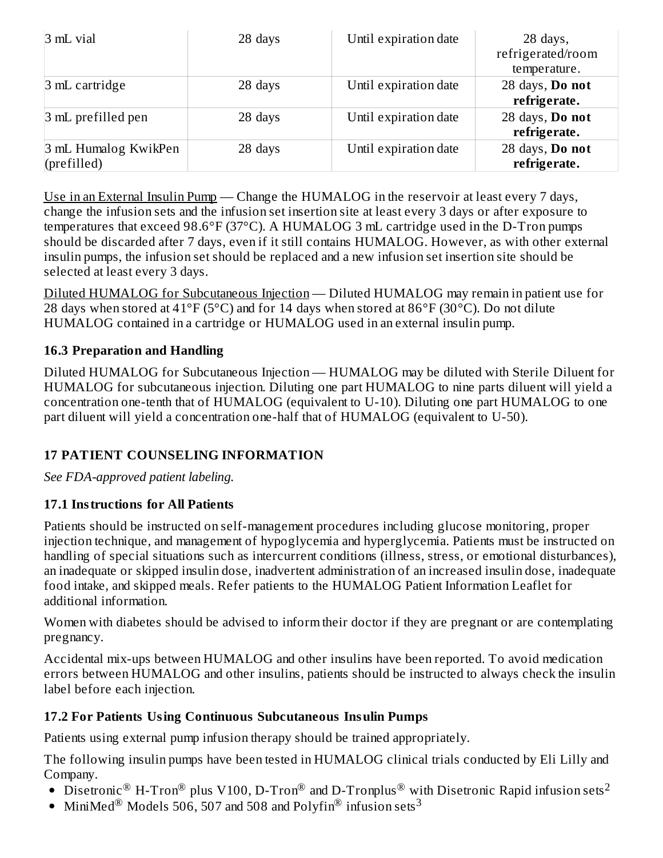| 3 mL vial                           | 28 days | Until expiration date | 28 days,<br>refrigerated/room<br>temperature. |
|-------------------------------------|---------|-----------------------|-----------------------------------------------|
| 3 mL cartridge                      | 28 days | Until expiration date | 28 days, Do not<br>refrigerate.               |
| 3 mL prefilled pen                  | 28 days | Until expiration date | 28 days, Do not<br>refrigerate.               |
| 3 mL Humalog KwikPen<br>(prefilled) | 28 days | Until expiration date | 28 days, Do not<br>refrigerate.               |

Use in an External Insulin Pump — Change the HUMALOG in the reservoir at least every 7 days, change the infusion sets and the infusion set insertion site at least every 3 days or after exposure to temperatures that exceed 98.6°F (37°C). A HUMALOG 3 mL cartridge used in the D-Tron pumps should be discarded after 7 days, even if it still contains HUMALOG. However, as with other external insulin pumps, the infusion set should be replaced and a new infusion set insertion site should be selected at least every 3 days.

Diluted HUMALOG for Subcutaneous Injection — Diluted HUMALOG may remain in patient use for 28 days when stored at 41°F (5°C) and for 14 days when stored at 86°F (30°C). Do not dilute HUMALOG contained in a cartridge or HUMALOG used in an external insulin pump.

## **16.3 Preparation and Handling**

Diluted HUMALOG for Subcutaneous Injection — HUMALOG may be diluted with Sterile Diluent for HUMALOG for subcutaneous injection. Diluting one part HUMALOG to nine parts diluent will yield a concentration one-tenth that of HUMALOG (equivalent to U-10). Diluting one part HUMALOG to one part diluent will yield a concentration one-half that of HUMALOG (equivalent to U-50).

# **17 PATIENT COUNSELING INFORMATION**

*See FDA-approved patient labeling.*

## **17.1 Instructions for All Patients**

Patients should be instructed on self-management procedures including glucose monitoring, proper injection technique, and management of hypoglycemia and hyperglycemia. Patients must be instructed on handling of special situations such as intercurrent conditions (illness, stress, or emotional disturbances), an inadequate or skipped insulin dose, inadvertent administration of an increased insulin dose, inadequate food intake, and skipped meals. Refer patients to the HUMALOG Patient Information Leaflet for additional information.

Women with diabetes should be advised to inform their doctor if they are pregnant or are contemplating pregnancy.

Accidental mix-ups between HUMALOG and other insulins have been reported. To avoid medication errors between HUMALOG and other insulins, patients should be instructed to always check the insulin label before each injection.

#### **17.2 For Patients Using Continuous Subcutaneous Insulin Pumps**

Patients using external pump infusion therapy should be trained appropriately.

The following insulin pumps have been tested in HUMALOG clinical trials conducted by Eli Lilly and Company.

- Disetronic $^{\circledR}$  H-Tron $^{\circledR}$  plus V100, D-Tron $^{\circledR}$  and D-Tronplus $^{\circledR}$  with Disetronic Rapid infusion sets $^2$
- MiniMed ${}^{\circledR}$  Models 506, 507 and 508 and Polyfin ${}^{\circledR}$  infusion sets ${}^3$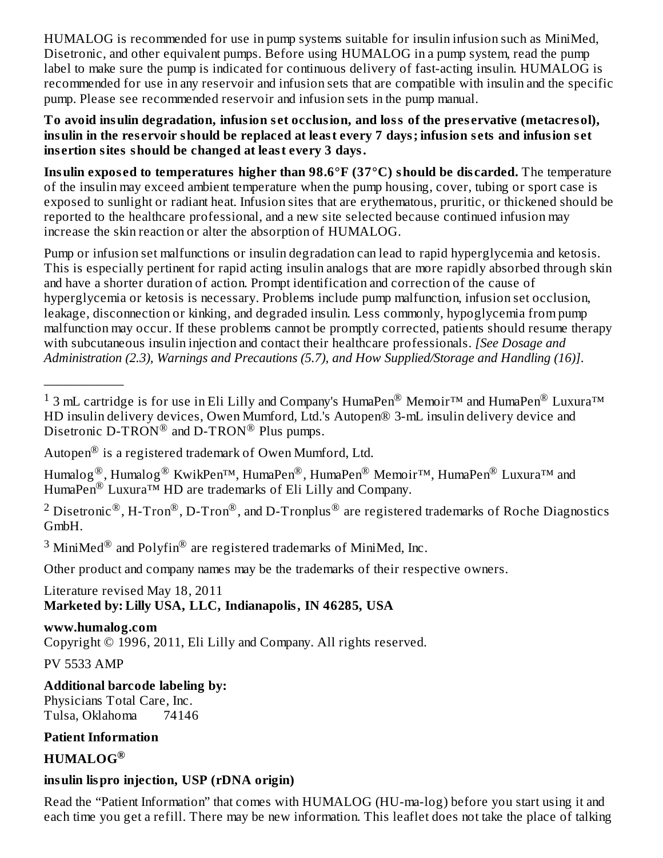HUMALOG is recommended for use in pump systems suitable for insulin infusion such as MiniMed, Disetronic, and other equivalent pumps. Before using HUMALOG in a pump system, read the pump label to make sure the pump is indicated for continuous delivery of fast-acting insulin. HUMALOG is recommended for use in any reservoir and infusion sets that are compatible with insulin and the specific pump. Please see recommended reservoir and infusion sets in the pump manual.

**To avoid insulin degradation, infusion s et occlusion, and loss of the pres ervative (metacresol),** insulin in the reservoir should be replaced at least every 7 days; infusion sets and infusion set **ins ertion sites should be changed at least every 3 days.**

**Insulin expos ed to temperatures higher than 98.6°F (37°C) should be dis carded.** The temperature of the insulin may exceed ambient temperature when the pump housing, cover, tubing or sport case is exposed to sunlight or radiant heat. Infusion sites that are erythematous, pruritic, or thickened should be reported to the healthcare professional, and a new site selected because continued infusion may increase the skin reaction or alter the absorption of HUMALOG.

Pump or infusion set malfunctions or insulin degradation can lead to rapid hyperglycemia and ketosis. This is especially pertinent for rapid acting insulin analogs that are more rapidly absorbed through skin and have a shorter duration of action. Prompt identification and correction of the cause of hyperglycemia or ketosis is necessary. Problems include pump malfunction, infusion set occlusion, leakage, disconnection or kinking, and degraded insulin. Less commonly, hypoglycemia from pump malfunction may occur. If these problems cannot be promptly corrected, patients should resume therapy with subcutaneous insulin injection and contact their healthcare professionals. *[See Dosage and Administration (2.3), Warnings and Precautions (5.7), and How Supplied/Storage and Handling (16)]*.

 $^3$  MiniMed $^{\circledR}$  and Polyfin $^{\circledR}$  are registered trademarks of MiniMed, Inc.

Other product and company names may be the trademarks of their respective owners.

Literature revised May 18, 2011 **Marketed by: Lilly USA, LLC, Indianapolis, IN 46285, USA**

## **www.humalog.com**

Copyright © 1996, 2011, Eli Lilly and Company. All rights reserved.

PV 5533 AMP

\_\_\_\_\_\_\_\_\_\_\_\_

#### **Additional barcode labeling by:** Physicians Total Care, Inc. Tulsa, Oklahoma 74146

# **Patient Information**

# **HUMALOG ®**

# **insulin lispro injection, USP (rDNA origin)**

Read the "Patient Information" that comes with HUMALOG (HU-ma-log) before you start using it and each time you get a refill. There may be new information. This leaflet does not take the place of talking

 $^{1}$  3 mL cartridge is for use in Eli Lilly and Company's HumaPen $^{\circledR}$  Memoir™ and HumaPen $^{\circledR}$  Luxura™ HD insulin delivery devices, Owen Mumford, Ltd.'s Autopen® 3-mL insulin delivery device and Disetronic D-TRON® and D-TRON® Plus pumps.

Autopen $^{\circledR}$  is a registered trademark of Owen Mumford, Ltd.

 $\rm{Human} \rm{log}^{\circledR}$  ,  $\rm{Human} \rm{sg}^{\circledR}$   $\rm{KwikPen^{TM}}$ ,  $\rm{Human} \rm{en}^{\circledR}$  ,  $\rm{Human} \rm{em}^{\circledR}$   $\rm{Human} \rm{em}^{\circledR}$   $\rm{Luxura^{TM}}$  and HumaPen<sup>®</sup> Luxura<sup>™</sup> HD are trademarks of Eli Lilly and Company.

 $^2$  Disetronic $^{\circledR}$ , H-Tron $^{\circledR}$ , D-Tron $^{\circledR}$ , and D-Tronplus $^{\circledR}$  are registered trademarks of Roche Diagnostics GmbH.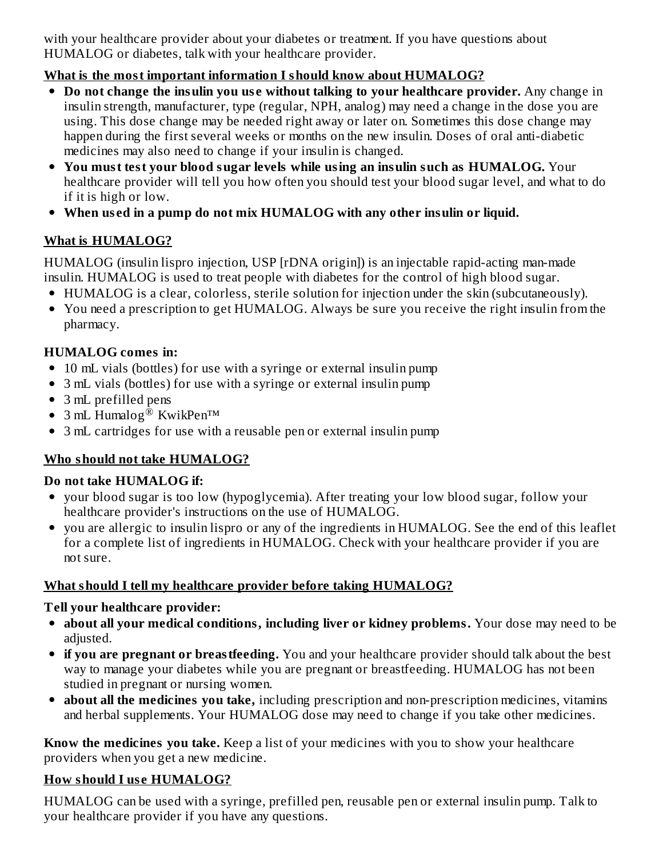with your healthcare provider about your diabetes or treatment. If you have questions about HUMALOG or diabetes, talk with your healthcare provider.

## **What is the most important information I should know about HUMALOG?**

- **Do not change the insulin you us e without talking to your healthcare provider.** Any change in insulin strength, manufacturer, type (regular, NPH, analog) may need a change in the dose you are using. This dose change may be needed right away or later on. Sometimes this dose change may happen during the first several weeks or months on the new insulin. Doses of oral anti-diabetic medicines may also need to change if your insulin is changed.
- **You must test your blood sugar levels while using an insulin such as HUMALOG.** Your healthcare provider will tell you how often you should test your blood sugar level, and what to do if it is high or low.
- **When us ed in a pump do not mix HUMALOG with any other insulin or liquid.**

# **What is HUMALOG?**

HUMALOG (insulin lispro injection, USP [rDNA origin]) is an injectable rapid-acting man-made insulin. HUMALOG is used to treat people with diabetes for the control of high blood sugar.

- HUMALOG is a clear, colorless, sterile solution for injection under the skin (subcutaneously).
- You need a prescription to get HUMALOG. Always be sure you receive the right insulin from the pharmacy.

# **HUMALOG comes in:**

- 10 mL vials (bottles) for use with a syringe or external insulin pump
- 3 mL vials (bottles) for use with a syringe or external insulin pump
- 3 mL prefilled pens
- 3 mL Humalog® KwikPen™
- 3 mL cartridges for use with a reusable pen or external insulin pump

# **Who should not take HUMALOG?**

# **Do not take HUMALOG if:**

- your blood sugar is too low (hypoglycemia). After treating your low blood sugar, follow your healthcare provider's instructions on the use of HUMALOG.
- you are allergic to insulin lispro or any of the ingredients in HUMALOG. See the end of this leaflet for a complete list of ingredients in HUMALOG. Check with your healthcare provider if you are not sure.

# **What should I tell my healthcare provider before taking HUMALOG?**

# **Tell your healthcare provider:**

- **about all your medical conditions, including liver or kidney problems.** Your dose may need to be adjusted.
- **if you are pregnant or breastfeeding.** You and your healthcare provider should talk about the best way to manage your diabetes while you are pregnant or breastfeeding. HUMALOG has not been studied in pregnant or nursing women.
- **about all the medicines you take,** including prescription and non-prescription medicines, vitamins and herbal supplements. Your HUMALOG dose may need to change if you take other medicines.

**Know the medicines you take.** Keep a list of your medicines with you to show your healthcare providers when you get a new medicine.

# **How should I us e HUMALOG?**

HUMALOG can be used with a syringe, prefilled pen, reusable pen or external insulin pump. Talk to your healthcare provider if you have any questions.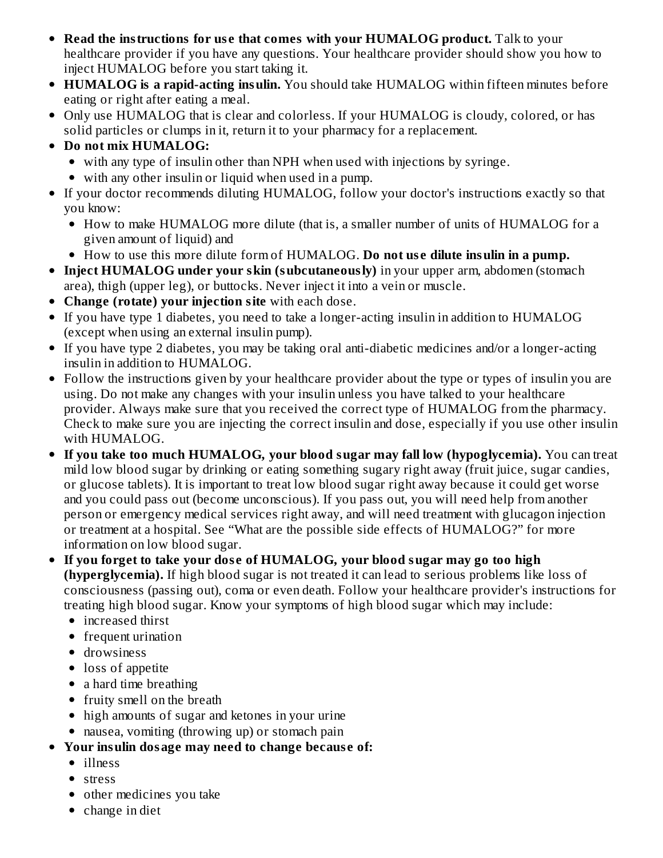- **Read the instructions for us e that comes with your HUMALOG product.** Talk to your healthcare provider if you have any questions. Your healthcare provider should show you how to inject HUMALOG before you start taking it.
- **HUMALOG is a rapid-acting insulin.** You should take HUMALOG within fifteen minutes before eating or right after eating a meal.
- Only use HUMALOG that is clear and colorless. If your HUMALOG is cloudy, colored, or has solid particles or clumps in it, return it to your pharmacy for a replacement.
- **Do not mix HUMALOG:**
	- with any type of insulin other than NPH when used with injections by syringe.
	- with any other insulin or liquid when used in a pump.
- If your doctor recommends diluting HUMALOG, follow your doctor's instructions exactly so that you know:
	- How to make HUMALOG more dilute (that is, a smaller number of units of HUMALOG for a given amount of liquid) and
	- How to use this more dilute form of HUMALOG. **Do not us e dilute insulin in a pump.**
- **Inject HUMALOG under your skin (subcutaneously)** in your upper arm, abdomen (stomach area), thigh (upper leg), or buttocks. Never inject it into a vein or muscle.
- **Change (rotate) your injection site** with each dose.
- If you have type 1 diabetes, you need to take a longer-acting insulin in addition to HUMALOG (except when using an external insulin pump).
- If you have type 2 diabetes, you may be taking oral anti-diabetic medicines and/or a longer-acting insulin in addition to HUMALOG.
- Follow the instructions given by your healthcare provider about the type or types of insulin you are using. Do not make any changes with your insulin unless you have talked to your healthcare provider. Always make sure that you received the correct type of HUMALOG from the pharmacy. Check to make sure you are injecting the correct insulin and dose, especially if you use other insulin with HUMALOG.
- **If you take too much HUMALOG, your blood sugar may fall low (hypoglycemia).** You can treat mild low blood sugar by drinking or eating something sugary right away (fruit juice, sugar candies, or glucose tablets). It is important to treat low blood sugar right away because it could get worse and you could pass out (become unconscious). If you pass out, you will need help from another person or emergency medical services right away, and will need treatment with glucagon injection or treatment at a hospital. See "What are the possible side effects of HUMALOG?" for more information on low blood sugar.
- **If you forget to take your dos e of HUMALOG, your blood sugar may go too high (hyperglycemia).** If high blood sugar is not treated it can lead to serious problems like loss of consciousness (passing out), coma or even death. Follow your healthcare provider's instructions for treating high blood sugar. Know your symptoms of high blood sugar which may include:
	- increased thirst
	- frequent urination
	- drowsiness
	- loss of appetite
	- a hard time breathing
	- fruity smell on the breath
	- high amounts of sugar and ketones in your urine
	- nausea, vomiting (throwing up) or stomach pain
- **Your insulin dosage may need to change becaus e of:**
	- illness
	- stress
	- other medicines you take
	- change in diet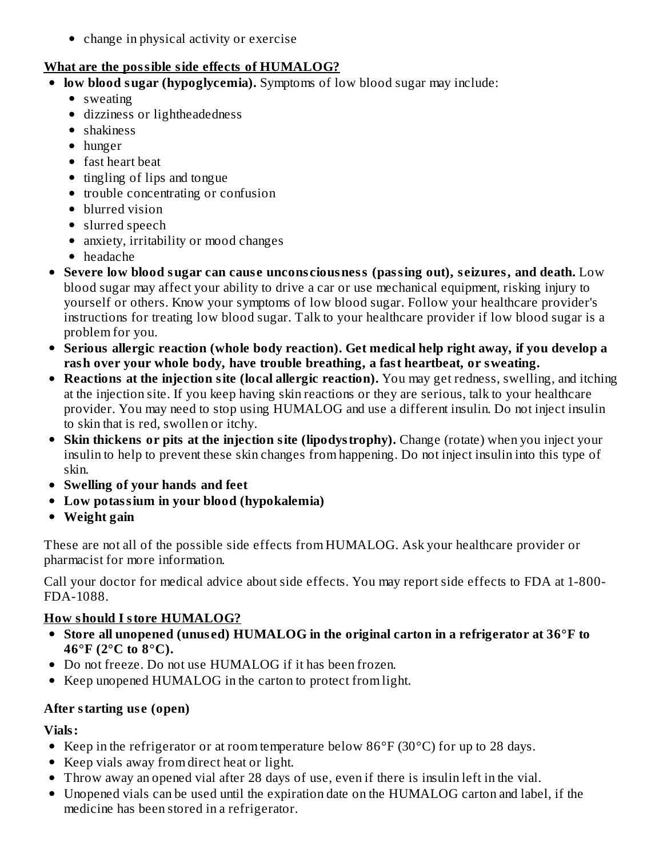change in physical activity or exercise

# **What are the possible side effects of HUMALOG?**

- **low blood sugar (hypoglycemia).** Symptoms of low blood sugar may include:
	- sweating
	- dizziness or lightheadedness
	- shakiness
	- hunger
	- fast heart beat
	- $\bullet$  tingling of lips and tongue
	- trouble concentrating or confusion
	- blurred vision
	- slurred speech
	- anxiety, irritability or mood changes
	- headache
- **Severe low blood sugar can caus e uncons ciousness (passing out), s eizures, and death.** Low blood sugar may affect your ability to drive a car or use mechanical equipment, risking injury to yourself or others. Know your symptoms of low blood sugar. Follow your healthcare provider's instructions for treating low blood sugar. Talk to your healthcare provider if low blood sugar is a problem for you.
- **Serious allergic reaction (whole body reaction). Get medical help right away, if you develop a rash over your whole body, have trouble breathing, a fast heartbeat, or sweating.**
- **Reactions at the injection site (local allergic reaction).** You may get redness, swelling, and itching at the injection site. If you keep having skin reactions or they are serious, talk to your healthcare provider. You may need to stop using HUMALOG and use a different insulin. Do not inject insulin to skin that is red, swollen or itchy.
- **Skin thickens or pits at the injection site (lipodystrophy).** Change (rotate) when you inject your insulin to help to prevent these skin changes from happening. Do not inject insulin into this type of skin.
- **Swelling of your hands and feet**
- **Low potassium in your blood (hypokalemia)**
- **Weight gain**

These are not all of the possible side effects from HUMALOG. Ask your healthcare provider or pharmacist for more information.

Call your doctor for medical advice about side effects. You may report side effects to FDA at 1-800- FDA-1088.

# **How should I store HUMALOG?**

- **Store all unopened (unus ed) HUMALOG in the original carton in a refrigerator at 36°F to 46°F (2°C to 8°C).**
- Do not freeze. Do not use HUMALOG if it has been frozen.
- Keep unopened HUMALOG in the carton to protect from light.

# **After starting us e (open)**

**Vials:**

- Exercise Keep in the refrigerator or at room temperature below  $86^{\circ}$ F (30 $^{\circ}$ C) for up to 28 days.
- Keep vials away from direct heat or light.
- Throw away an opened vial after 28 days of use, even if there is insulin left in the vial.
- Unopened vials can be used until the expiration date on the HUMALOG carton and label, if the medicine has been stored in a refrigerator.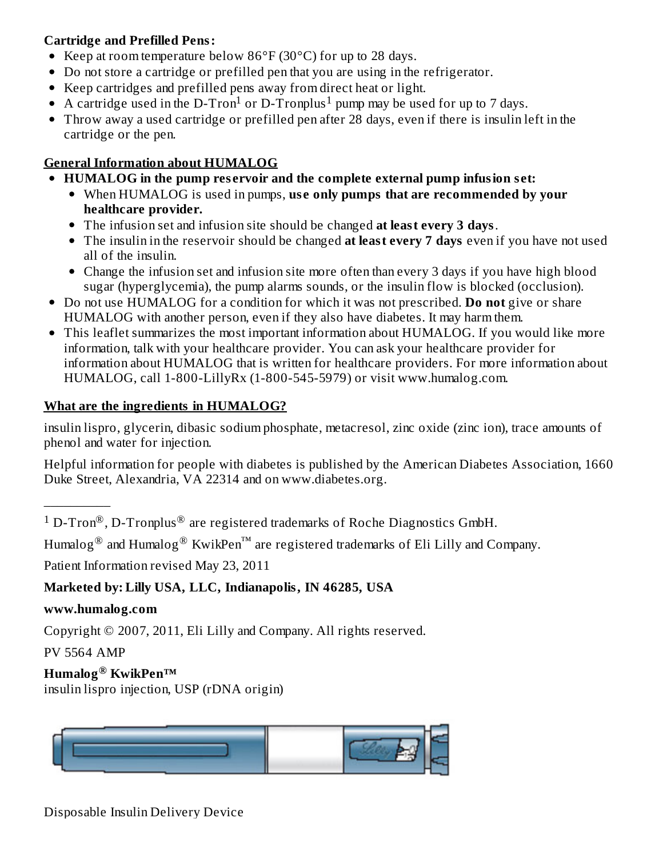#### **Cartridge and Prefilled Pens:**

- Exercise A Keep at room temperature below  $86^{\circ}$ F (30 $^{\circ}$ C) for up to 28 days.
- Do not store a cartridge or prefilled pen that you are using in the refrigerator.
- Keep cartridges and prefilled pens away from direct heat or light.
- A cartridge used in the D-Tron<sup>1</sup> or D-Tronplus<sup>1</sup> pump may be used for up to 7 days.
- Throw away a used cartridge or prefilled pen after 28 days, even if there is insulin left in the cartridge or the pen.

## **General Information about HUMALOG**

- **HUMALOG in the pump res ervoir and the complete external pump infusion s et:**
	- When HUMALOG is used in pumps, **us e only pumps that are recommended by your healthcare provider.**
	- The infusion set and infusion site should be changed **at least every 3 days**.
	- The insulin in the reservoir should be changed **at least every 7 days** even if you have not used all of the insulin.
	- Change the infusion set and infusion site more often than every 3 days if you have high blood sugar (hyperglycemia), the pump alarms sounds, or the insulin flow is blocked (occlusion).
- Do not use HUMALOG for a condition for which it was not prescribed. **Do not** give or share HUMALOG with another person, even if they also have diabetes. It may harm them.
- This leaflet summarizes the most important information about HUMALOG. If you would like more information, talk with your healthcare provider. You can ask your healthcare provider for information about HUMALOG that is written for healthcare providers. For more information about HUMALOG, call 1-800-LillyRx (1-800-545-5979) or visit www.humalog.com.

## **What are the ingredients in HUMALOG?**

insulin lispro, glycerin, dibasic sodium phosphate, metacresol, zinc oxide (zinc ion), trace amounts of phenol and water for injection.

Helpful information for people with diabetes is published by the American Diabetes Association, 1660 Duke Street, Alexandria, VA 22314 and on www.diabetes.org.

<sup>1</sup> D-Tron<sup>®</sup>, D-Tronplus<sup>®</sup> are registered trademarks of Roche Diagnostics GmbH.

Humalog $^\circledR$  and Humalog $^\circledR$  KwikPen $^{\text{\tiny{\textsf{TM}}}}$  are registered trademarks of Eli Lilly and Company.

Patient Information revised May 23, 2011

# **Marketed by: Lilly USA, LLC, Indianapolis, IN 46285, USA**

#### **www.humalog.com**

Copyright © 2007, 2011, Eli Lilly and Company. All rights reserved.

PV 5564 AMP

 $\overline{\phantom{a}}$ 

#### **Humalog KwikPen™ ®**insulin lispro injection, USP (rDNA origin)

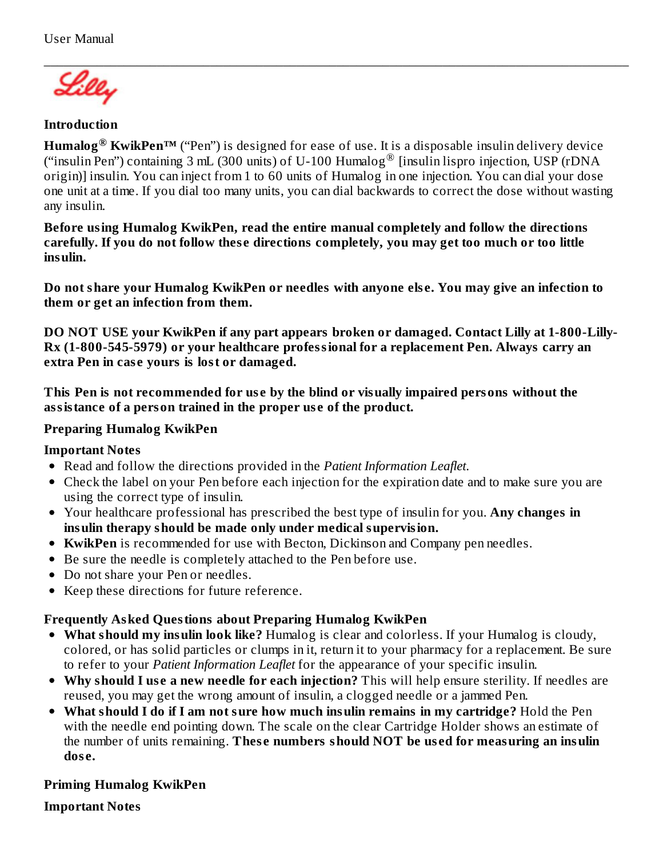

#### **Introduction**

**Humalog KwikPen™** ("Pen") is designed for ease of use. It is a disposable insulin delivery device **®** ("insulin Pen") containing 3 mL (300 units) of U-100 Humalog<sup>®</sup> [insulin lispro injection, USP (rDNA origin)] insulin. You can inject from 1 to 60 units of Humalog in one injection. You can dial your dose one unit at a time. If you dial too many units, you can dial backwards to correct the dose without wasting any insulin.

**Before using Humalog KwikPen, read the entire manual completely and follow the directions carefully. If you do not follow thes e directions completely, you may get too much or too little insulin.**

**Do not share your Humalog KwikPen or needles with anyone els e. You may give an infection to them or get an infection from them.**

**DO NOT USE your KwikPen if any part appears broken or damaged. Contact Lilly at 1-800-Lilly-Rx (1-800-545-5979) or your healthcare professional for a replacement Pen. Always carry an extra Pen in cas e yours is lost or damaged.**

**This Pen is not recommended for us e by the blind or visually impaired persons without the assistance of a person trained in the proper us e of the product.**

#### **Preparing Humalog KwikPen**

#### **Important Notes**

- Read and follow the directions provided in the *Patient Information Leaflet*.
- Check the label on your Pen before each injection for the expiration date and to make sure you are using the correct type of insulin.
- Your healthcare professional has prescribed the best type of insulin for you. **Any changes in insulin therapy should be made only under medical supervision.**
- **KwikPen** is recommended for use with Becton, Dickinson and Company pen needles.
- Be sure the needle is completely attached to the Pen before use.
- Do not share your Pen or needles.
- Keep these directions for future reference.

#### **Frequently Asked Questions about Preparing Humalog KwikPen**

- **What should my insulin look like?** Humalog is clear and colorless. If your Humalog is cloudy, colored, or has solid particles or clumps in it, return it to your pharmacy for a replacement. Be sure to refer to your *Patient Information Leaflet* for the appearance of your specific insulin.
- **Why should I us e a new needle for each injection?** This will help ensure sterility. If needles are reused, you may get the wrong amount of insulin, a clogged needle or a jammed Pen.
- **What should I do if I am not sure how much insulin remains in my cartridge?** Hold the Pen with the needle end pointing down. The scale on the clear Cartridge Holder shows an estimate of the number of units remaining. **Thes e numbers should NOT be us ed for measuring an insulin dos e.**

#### **Priming Humalog KwikPen**

**Important Notes**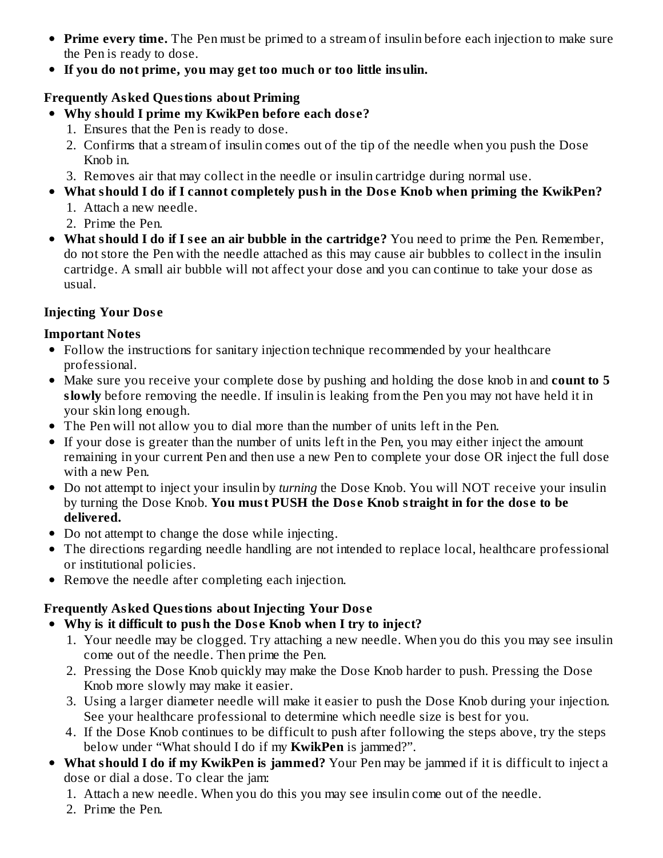- **Prime every time.** The Pen must be primed to a stream of insulin before each injection to make sure the Pen is ready to dose.
- **If you do not prime, you may get too much or too little insulin.**

# **Frequently Asked Questions about Priming**

- **Why should I prime my KwikPen before each dos e?**
	- 1. Ensures that the Pen is ready to dose.
	- 2. Confirms that a stream of insulin comes out of the tip of the needle when you push the Dose Knob in.
	- 3. Removes air that may collect in the needle or insulin cartridge during normal use.
- **What should I do if I cannot completely push in the Dos e Knob when priming the KwikPen?**
	- 1. Attach a new needle.
	- 2. Prime the Pen.
- **What should I do if I s ee an air bubble in the cartridge?** You need to prime the Pen. Remember, do not store the Pen with the needle attached as this may cause air bubbles to collect in the insulin cartridge. A small air bubble will not affect your dose and you can continue to take your dose as usual.

# **Injecting Your Dos e**

# **Important Notes**

- Follow the instructions for sanitary injection technique recommended by your healthcare professional.
- Make sure you receive your complete dose by pushing and holding the dose knob in and **count to 5 slowly** before removing the needle. If insulin is leaking from the Pen you may not have held it in your skin long enough.
- The Pen will not allow you to dial more than the number of units left in the Pen.
- If your dose is greater than the number of units left in the Pen, you may either inject the amount remaining in your current Pen and then use a new Pen to complete your dose OR inject the full dose with a new Pen.
- Do not attempt to inject your insulin by *turning* the Dose Knob. You will NOT receive your insulin by turning the Dose Knob. **You must PUSH the Dos e Knob straight in for the dos e to be delivered.**
- Do not attempt to change the dose while injecting.
- The directions regarding needle handling are not intended to replace local, healthcare professional or institutional policies.
- Remove the needle after completing each injection.

# **Frequently Asked Questions about Injecting Your Dos e**

- **Why is it difficult to push the Dos e Knob when I try to inject?**
	- 1. Your needle may be clogged. Try attaching a new needle. When you do this you may see insulin come out of the needle. Then prime the Pen.
	- 2. Pressing the Dose Knob quickly may make the Dose Knob harder to push. Pressing the Dose Knob more slowly may make it easier.
	- 3. Using a larger diameter needle will make it easier to push the Dose Knob during your injection. See your healthcare professional to determine which needle size is best for you.
	- 4. If the Dose Knob continues to be difficult to push after following the steps above, try the steps below under "What should I do if my **KwikPen** is jammed?".
- **What should I do if my KwikPen is jammed?** Your Pen may be jammed if it is difficult to inject a dose or dial a dose. To clear the jam:
	- 1. Attach a new needle. When you do this you may see insulin come out of the needle.
	- 2. Prime the Pen.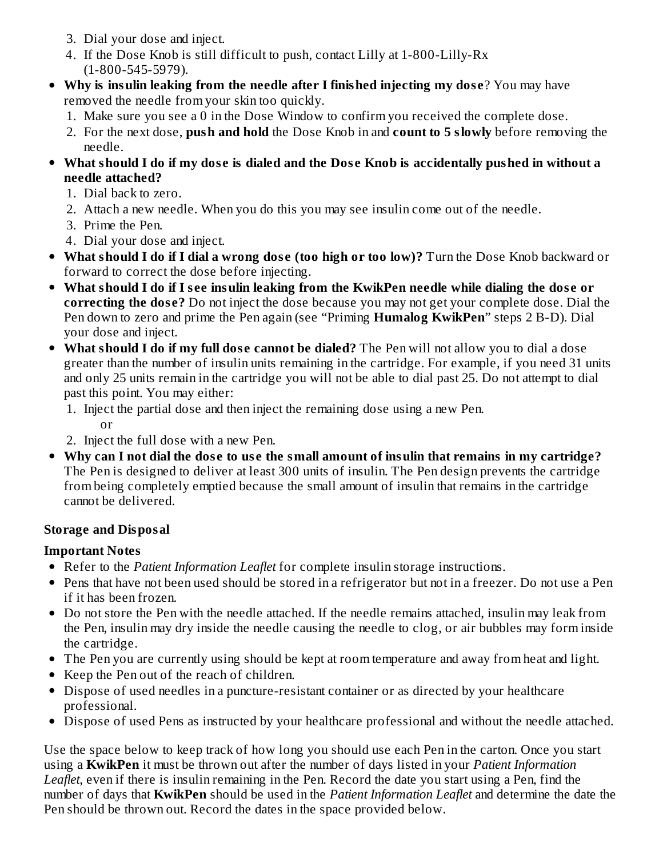- 3. Dial your dose and inject.
- 4. If the Dose Knob is still difficult to push, contact Lilly at 1-800-Lilly-Rx (1-800-545-5979).
- **Why is insulin leaking from the needle after I finished injecting my dos e**? You may have removed the needle from your skin too quickly.
	- 1. Make sure you see a 0 in the Dose Window to confirm you received the complete dose.
	- 2. For the next dose, **push and hold** the Dose Knob in and **count to 5 slowly** before removing the needle.
- What should I do if my dose is dialed and the Dose Knob is accidentally pushed in without a **needle attached?**
	- 1. Dial back to zero.
	- 2. Attach a new needle. When you do this you may see insulin come out of the needle.
	- 3. Prime the Pen.
	- 4. Dial your dose and inject.
- **What should I do if I dial a wrong dos e (too high or too low)?** Turn the Dose Knob backward or forward to correct the dose before injecting.
- What should I do if I see insulin leaking from the KwikPen needle while dialing the dose or **correcting the dose?** Do not inject the dose because you may not get your complete dose. Dial the Pen down to zero and prime the Pen again (see "Priming **Humalog KwikPen**" steps 2 B-D). Dial your dose and inject.
- **What should I do if my full dos e cannot be dialed?** The Pen will not allow you to dial a dose greater than the number of insulin units remaining in the cartridge. For example, if you need 31 units and only 25 units remain in the cartridge you will not be able to dial past 25. Do not attempt to dial past this point. You may either:
	- 1. Inject the partial dose and then inject the remaining dose using a new Pen. or
	- 2. Inject the full dose with a new Pen.
- Why can I not dial the dose to use the small amount of insulin that remains in my cartridge? The Pen is designed to deliver at least 300 units of insulin. The Pen design prevents the cartridge from being completely emptied because the small amount of insulin that remains in the cartridge cannot be delivered.

## **Storage and Disposal**

# **Important Notes**

- Refer to the *Patient Information Leaflet* for complete insulin storage instructions.
- Pens that have not been used should be stored in a refrigerator but not in a freezer. Do not use a Pen if it has been frozen.
- Do not store the Pen with the needle attached. If the needle remains attached, insulin may leak from the Pen, insulin may dry inside the needle causing the needle to clog, or air bubbles may form inside the cartridge.
- The Pen you are currently using should be kept at room temperature and away from heat and light.
- Keep the Pen out of the reach of children.
- Dispose of used needles in a puncture-resistant container or as directed by your healthcare professional.
- Dispose of used Pens as instructed by your healthcare professional and without the needle attached.

Use the space below to keep track of how long you should use each Pen in the carton. Once you start using a **KwikPen** it must be thrown out after the number of days listed in your *Patient Information Leaflet*, even if there is insulin remaining in the Pen. Record the date you start using a Pen, find the number of days that **KwikPen** should be used in the *Patient Information Leaflet* and determine the date the Pen should be thrown out. Record the dates in the space provided below.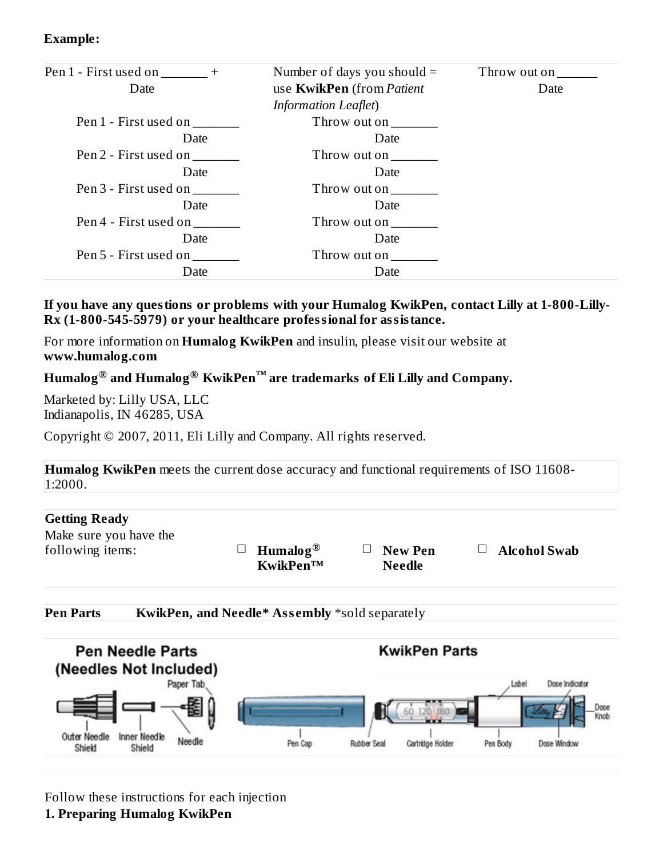#### **Example:**

| Pen 1 - First used on + | Number of days you should $=$ | Throw out on |
|-------------------------|-------------------------------|--------------|
| Date                    | use KwikPen (from Patient     | Date         |
|                         | <b>Information Leaflet</b> )  |              |
| Pen 1 - First used on   | Throw out on                  |              |
| Date                    | Date                          |              |
| Pen 2 - First used on   | Throw out on                  |              |
| Date                    | Date                          |              |
| Pen 3 - First used on   | Throw out on                  |              |
| Date                    | Date                          |              |
| Pen 4 - First used on   | Throw out on                  |              |
| Date                    | Date                          |              |
| Pen 5 - First used on   | Throw out on                  |              |
| Date                    | Date                          |              |

**If you have any questions or problems with your Humalog KwikPen, contact Lilly at 1-800-Lilly-Rx (1-800-545-5979) or your healthcare professional for assistance.**

For more information on **Humalog KwikPen** and insulin, please visit our website at **www.humalog.com**

 $\mathbf{H}$ umalog $^{\circledR}$  and  $\mathbf{H}$ umalog $^{\circledR}$  KwikPen $^{\scriptscriptstyle\mathsf{TM}}$  are trademarks of Eli Lilly and Company.

Marketed by: Lilly USA, LLC Indianapolis, IN 46285, USA

Copyright © 2007, 2011, Eli Lilly and Company. All rights reserved.

**Humalog KwikPen** meets the current dose accuracy and functional requirements of ISO 11608- 1:2000.

| <b>Getting Ready</b>                                                   |                                                |                                        |                         |
|------------------------------------------------------------------------|------------------------------------------------|----------------------------------------|-------------------------|
| Make sure you have the                                                 |                                                |                                        |                         |
| following items:                                                       | $H$ umalog $^{\circledR}$<br><b>KwikPenTM</b>  | <b>New Pen</b><br><b>Needle</b>        | <b>Alcohol Swab</b>     |
| <b>Pen Parts</b>                                                       | KwikPen, and Needle* Assembly *sold separately |                                        |                         |
| <b>Pen Needle Parts</b>                                                |                                                | <b>KwikPen Parts</b>                   |                         |
| (Needles Not Included)                                                 |                                                |                                        |                         |
| Paper Tab                                                              |                                                |                                        | Dose Indicator<br>Label |
|                                                                        |                                                |                                        | Dose<br>Knob            |
| Outer Needle<br>Inner Needle<br>Needle<br>$O$ <b>b</b> iald<br>C1.1.14 | Pen Cap                                        | <b>Rubber Seal</b><br>Cartridge Holder | Dose Window<br>Pen Body |

Cartridge Holder

Follow these instructions for each injection

**1. Preparing Humalog KwikPen**

Shield

Shield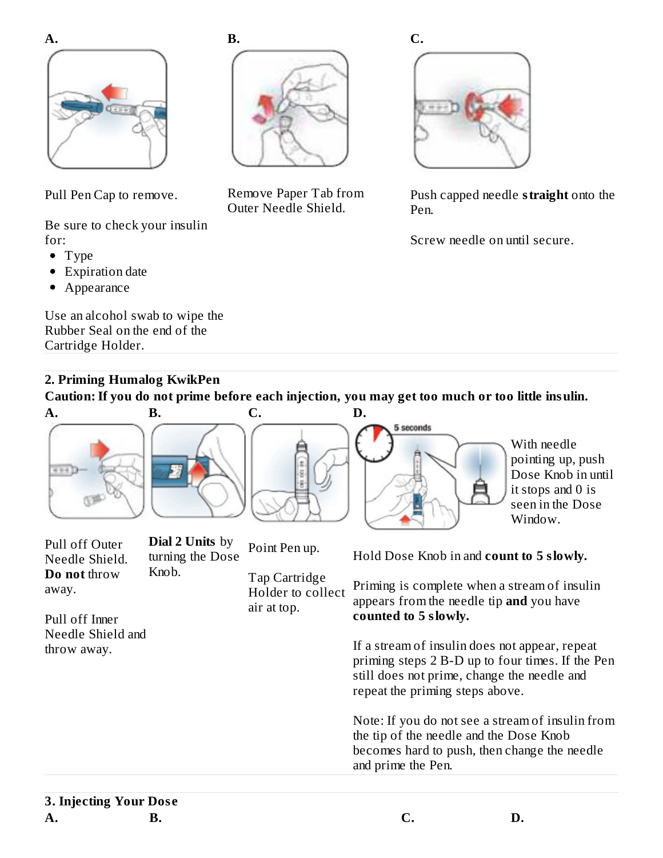



Pull Pen Cap to remove.

Be sure to check your insulin for:

- Type
- Expiration date
- Appearance

Pull off Outer Needle Shield. **Do not** throw

Pull off Inner Needle Shield and

throw away.

away.

Use an alcohol swab to wipe the Rubber Seal on the end of the Cartridge Holder.

> **Dial 2 Units** by turning the Dose

Knob.

# **A. B. C.**

Remove Paper Tab from Outer Needle Shield.



Push capped needle **straight** onto the Pen.

Screw needle on until secure.



Point Pen up.

Tap Cartridge Holder to collect

air at top.

pointing up, push Dose Knob in until it stops and 0 is seen in the Dose Window.

Hold Dose Knob in and **count to 5 slowly.**

Priming is complete when a stream of insulin appears from the needle tip **and** you have **counted to 5 slowly.**

If a stream of insulin does not appear, repeat priming steps 2 B-D up to four times. If the Pen still does not prime, change the needle and repeat the priming steps above.

Note: If you do not see a stream of insulin from the tip of the needle and the Dose Knob becomes hard to push, then change the needle and prime the Pen.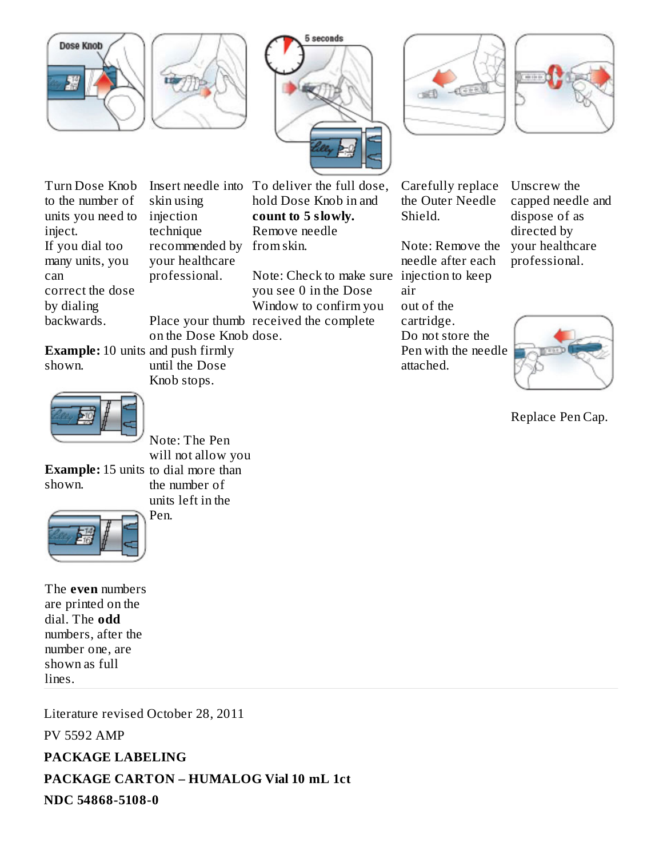









Turn Dose Knob to the number of units you need to inject. If you dial too many units, you can correct the dose by dialing backwards.

skin using injection technique recommended by from skin. your healthcare professional.

Insert needle into To deliver the full dose, hold Dose Knob in and **count to 5 slowly.** Remove needle

Place your thumb received the complete on the Dose Knob dose. Note: Check to make sure injection to keep you see 0 in the Dose Window to confirm you

Carefully replace the Outer Needle Shield.

Note: Remove the needle after each air

out of the cartridge. Do not store the Pen with the needle attached.

Unscrew the capped needle and dispose of as directed by your healthcare professional.



Replace Pen Cap.

**Example:** 10 units and push firmly shown.

**Example:** 15 units to dial more than Note: The Pen will not allow you the number of

until the Dose Knob stops.



shown.

The **even** numbers are printed on the dial. The **odd** numbers, after the number one, are shown as full lines.

Literature revised October 28, 2011

PV 5592 AMP

**PACKAGE LABELING PACKAGE CARTON – HUMALOG Vial 10 mL 1ct**

**NDC 54868-5108-0**

units left in the Pen.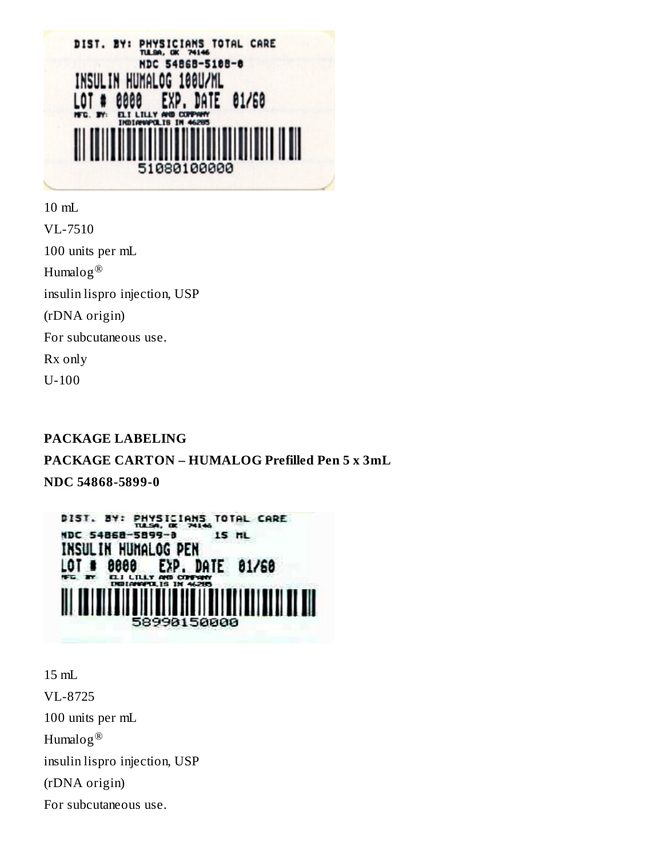

10 mL VL-7510 100 units per mL Humalog ® insulin lispro injection, USP (rDNA origin) For subcutaneous use. Rx only U-100

# **PACKAGE LABELING**

#### **PACKAGE CARTON – HUMALOG Prefilled Pen 5 x 3mL**

#### **NDC 54868-5899-0**



15 mL VL-8725 100 units per mL Humalog $^{\circledR}$ insulin lispro injection, USP (rDNA origin) For subcutaneous use.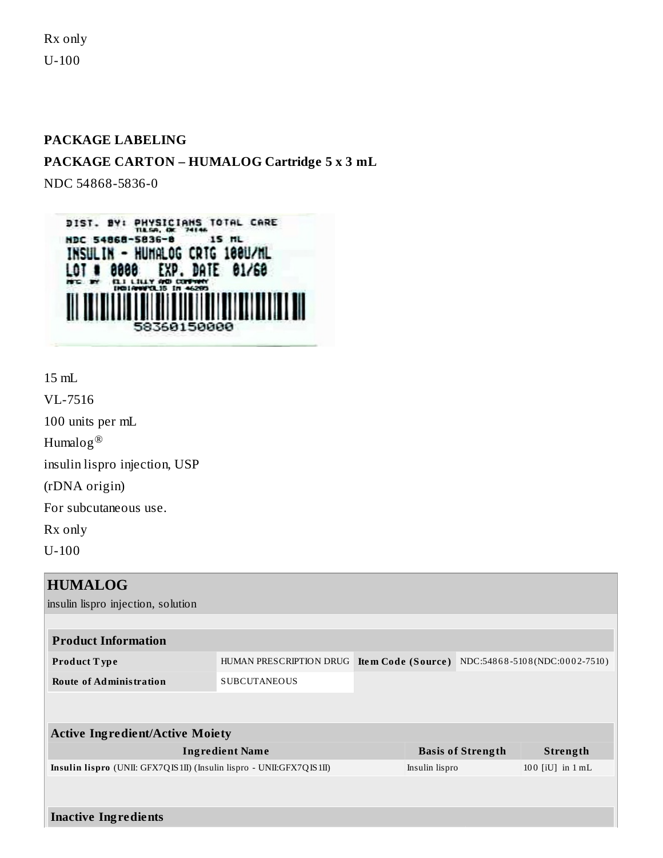Rx only U-100

#### **PACKAGE LABELING**

#### **PACKAGE CARTON – HUMALOG Cartridge 5 x 3 mL**

NDC 54868-5836-0



15 mL VL-7516 100 units per mL Humalog $^{\circledR}$ insulin lispro injection, USP (rDNA origin) For subcutaneous use. Rx only U-100

#### **HUMALOG**

insulin lispro injection, solution **Product Information Product T ype** HUMAN PRESCRIPTION DRUG **Ite m Code (Source )** NDC:548 6 8 -510 8 (NDC:0 0 0 2-7510 ) **Route of Administration** SUBCUTANEOUS **Active Ingredient/Active Moiety Ingredient Name Basis of Strength Strength Insulin lispro** (UNII: GFX7QIS1II) (Insulin lispro - UNII:GFX7QIS1II) **Insulin lispro** 100 [iU] in 1 mL **Inactive Ingredients**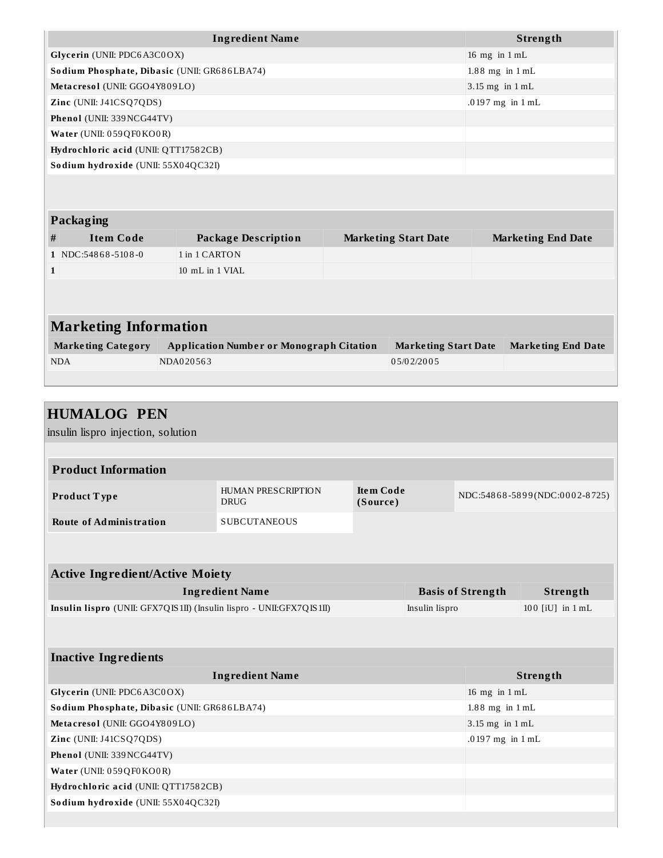| <b>Ingredient Name</b>               |                                                 |  |                             |                                 | Strength                  |
|--------------------------------------|-------------------------------------------------|--|-----------------------------|---------------------------------|---------------------------|
| Glycerin (UNII: PDC6A3C0OX)          |                                                 |  |                             | 16 mg in $1 mL$                 |                           |
|                                      | Sodium Phosphate, Dibasic (UNII: GR686LBA74)    |  |                             | $1.88$ mg in $1 \, \mathrm{mL}$ |                           |
| Metacresol (UNII: GGO4Y809LO)        |                                                 |  |                             | 3.15 mg in 1 mL                 |                           |
| Zinc (UNII: J41CSQ7QDS)              |                                                 |  |                             |                                 | $.0197$ mg in $1$ mL      |
| Phenol (UNII: 339 NCG44TV)           |                                                 |  |                             |                                 |                           |
| Water (UNII: 059QF0KO0R)             |                                                 |  |                             |                                 |                           |
| Hydrochloric acid (UNII: QTT17582CB) |                                                 |  |                             |                                 |                           |
| Sodium hydroxide (UNII: 55X04QC32I)  |                                                 |  |                             |                                 |                           |
| Packaging                            |                                                 |  |                             |                                 |                           |
| <b>Item Code</b><br>#                | <b>Package Description</b>                      |  | <b>Marketing Start Date</b> |                                 | <b>Marketing End Date</b> |
| 1 NDC:54868-5108-0                   | 1 in 1 CARTON                                   |  |                             |                                 |                           |
| $\mathbf{1}$                         | 10 mL in 1 VIAL                                 |  |                             |                                 |                           |
|                                      |                                                 |  |                             |                                 |                           |
| <b>Marketing Information</b>         |                                                 |  |                             |                                 |                           |
| <b>Marketing Category</b>            | <b>Application Number or Monograph Citation</b> |  | <b>Marketing Start Date</b> |                                 | <b>Marketing End Date</b> |
| <b>NDA</b>                           | NDA020563                                       |  | 05/02/2005                  |                                 |                           |
|                                      |                                                 |  |                             |                                 |                           |

| <b>HUMALOG PEN</b><br>insulin lispro injection, solution              |                                   |                              |                |                          |                               |
|-----------------------------------------------------------------------|-----------------------------------|------------------------------|----------------|--------------------------|-------------------------------|
|                                                                       |                                   |                              |                |                          |                               |
| <b>Product Information</b>                                            |                                   |                              |                |                          |                               |
| Product Type                                                          | HUMAN PRESCRIPTION<br><b>DRUG</b> | <b>Item Code</b><br>(Source) |                |                          | NDC:54868-5899(NDC:0002-8725) |
| <b>Route of Administration</b>                                        | <b>SUBCUTANEOUS</b>               |                              |                |                          |                               |
|                                                                       |                                   |                              |                |                          |                               |
|                                                                       |                                   |                              |                |                          |                               |
| <b>Active Ingredient/Active Moiety</b>                                |                                   |                              |                |                          |                               |
|                                                                       | <b>Ingredient Name</b>            |                              |                | <b>Basis of Strength</b> | Strength                      |
| Insulin lispro (UNII: GFX7QIS1II) (Insulin lispro - UNII: GFX7QIS1II) |                                   |                              | Insulin lispro |                          | 100 [iU] in 1 mL              |
|                                                                       |                                   |                              |                |                          |                               |
| <b>Inactive Ingredients</b>                                           |                                   |                              |                |                          |                               |
|                                                                       | <b>Ingredient Name</b>            |                              |                |                          | Strength                      |
| Glycerin (UNII: PDC6A3C0OX)                                           |                                   |                              |                | 16 mg in $1 mL$          |                               |
| Sodium Phosphate, Dibasic (UNII: GR686LBA74)                          |                                   |                              |                | $1.88$ mg in $1$ mL      |                               |
| Metacresol (UNII: GGO4Y809LO)                                         |                                   |                              |                | 3.15 mg in 1 mL          |                               |
| Zinc (UNII: J41CSQ7QDS)                                               |                                   |                              |                | .0197 mg in 1 mL         |                               |
| Phenol (UNII: 339 NCG44TV)                                            |                                   |                              |                |                          |                               |
| Water (UNII: 059QF0KO0R)                                              |                                   |                              |                |                          |                               |
| Hydrochloric acid (UNII: QTT17582CB)                                  |                                   |                              |                |                          |                               |
| Sodium hydroxide (UNII: 55X04QC32I)                                   |                                   |                              |                |                          |                               |
|                                                                       |                                   |                              |                |                          |                               |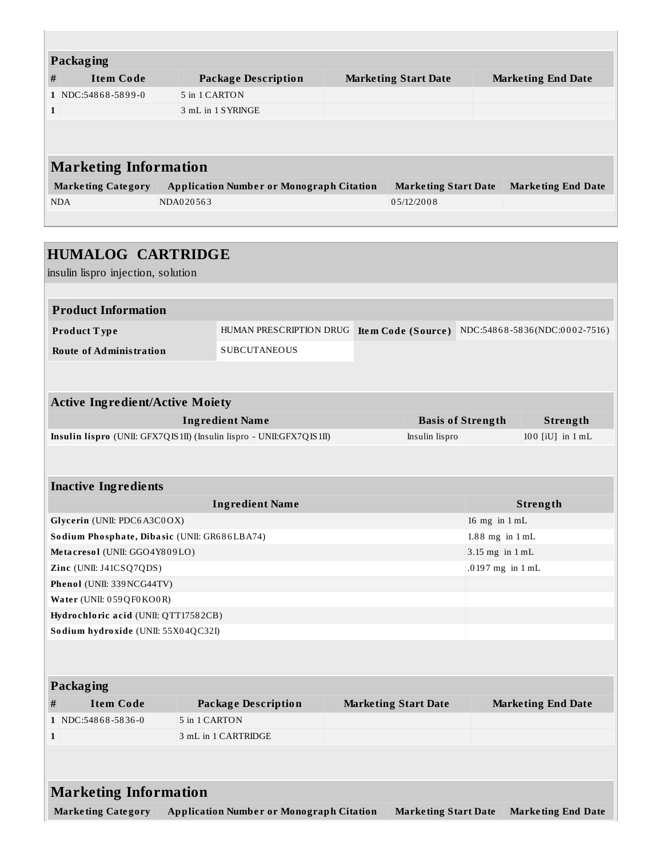| <b>Packaging</b> |                              |                                                 |  |                             |  |                           |
|------------------|------------------------------|-------------------------------------------------|--|-----------------------------|--|---------------------------|
| #                | <b>Item Code</b>             | <b>Package Description</b>                      |  | <b>Marketing Start Date</b> |  | <b>Marketing End Date</b> |
|                  | $1$ NDC:54868-5899-0         | 5 in 1 CARTON                                   |  |                             |  |                           |
| $\mathbf{1}$     |                              | 3 mL in 1 SYRINGE                               |  |                             |  |                           |
|                  | <b>Marketing Information</b> |                                                 |  |                             |  |                           |
|                  | <b>Marketing Category</b>    | <b>Application Number or Monograph Citation</b> |  | <b>Marketing Start Date</b> |  | <b>Marketing End Date</b> |
|                  | <b>NDA</b>                   | NDA020563                                       |  | 05/12/2008                  |  |                           |
|                  |                              |                                                 |  |                             |  |                           |

| <b>HUMALOG CARTRIDGE</b>                     |                                                                          |                             |                |                          |                           |  |
|----------------------------------------------|--------------------------------------------------------------------------|-----------------------------|----------------|--------------------------|---------------------------|--|
| insulin lispro injection, solution           |                                                                          |                             |                |                          |                           |  |
|                                              |                                                                          |                             |                |                          |                           |  |
| <b>Product Information</b>                   |                                                                          |                             |                |                          |                           |  |
| Product Type                                 | HUMAN PRESCRIPTION DRUG Item Code (Source) NDC:54868-5836(NDC:0002-7516) |                             |                |                          |                           |  |
| <b>Route of Administration</b>               | <b>SUBCUTANEOUS</b>                                                      |                             |                |                          |                           |  |
|                                              |                                                                          |                             |                |                          |                           |  |
|                                              |                                                                          |                             |                |                          |                           |  |
| <b>Active Ingredient/Active Moiety</b>       |                                                                          |                             |                |                          |                           |  |
|                                              | <b>Ingredient Name</b>                                                   |                             |                | <b>Basis of Strength</b> | Strength                  |  |
|                                              | Insulin lispro (UNII: GFX7QIS1II) (Insulin lispro - UNII: GFX7QIS1II)    |                             | Insulin lispro |                          | 100 [iU] in 1 mL          |  |
|                                              |                                                                          |                             |                |                          |                           |  |
|                                              |                                                                          |                             |                |                          |                           |  |
| <b>Inactive Ingredients</b>                  |                                                                          |                             |                |                          |                           |  |
|                                              | <b>Ingredient Name</b>                                                   |                             |                |                          | Strength                  |  |
| Glycerin (UNII: PDC6A3C0OX)                  |                                                                          |                             |                |                          | 16 mg in 1 mL             |  |
| Sodium Phosphate, Dibasic (UNII: GR686LBA74) |                                                                          |                             |                |                          | $1.88$ mg in $1$ mL       |  |
| Metacresol (UNII: GGO4Y809LO)                |                                                                          |                             |                | 3.15 mg in 1 mL          |                           |  |
| Zinc (UNII: J41CSQ7QDS)                      |                                                                          |                             |                | .0197 mg in 1 mL         |                           |  |
| Phenol (UNII: 339NCG44TV)                    |                                                                          |                             |                |                          |                           |  |
| Water (UNII: 059QF0KO0R)                     |                                                                          |                             |                |                          |                           |  |
| Hydrochloric acid (UNII: QTT17582CB)         |                                                                          |                             |                |                          |                           |  |
| Sodium hydroxide (UNII: 55X04QC32I)          |                                                                          |                             |                |                          |                           |  |
|                                              |                                                                          |                             |                |                          |                           |  |
|                                              |                                                                          |                             |                |                          |                           |  |
| Packaging                                    |                                                                          |                             |                |                          |                           |  |
| <b>Item Code</b><br>#                        | <b>Package Description</b>                                               | <b>Marketing Start Date</b> |                |                          | <b>Marketing End Date</b> |  |
| 1 NDC:54868-5836-0                           | 5 in 1 CARTON                                                            |                             |                |                          |                           |  |
| $\mathbf{1}$                                 | 3 mL in 1 CARTRIDGE                                                      |                             |                |                          |                           |  |
|                                              |                                                                          |                             |                |                          |                           |  |
|                                              |                                                                          |                             |                |                          |                           |  |
| <b>Marketing Information</b>                 |                                                                          |                             |                |                          |                           |  |

**Marke ting Category Application Numbe r or Monograph Citation Marke ting Start Date Marke ting End Date**